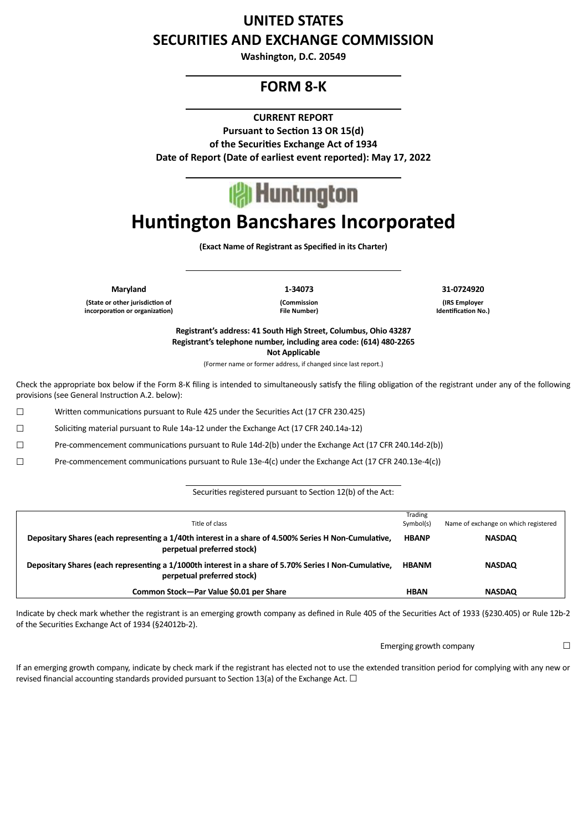# **UNITED STATES**

**SECURITIES AND EXCHANGE COMMISSION**

**Washington, D.C. 20549**

# **FORM 8-K**

**CURRENT REPORT**

**Pursuant to Section 13 OR 15(d) of the Securities Exchange Act of 1934 Date of Report (Date of earliest event reported): May 17, 2022**

# **All Huntington**

# **Huntington Bancshares Incorporated**

**(Exact Name of Registrant as Specified in its Charter)**

**(State or other jurisdiction of incorporation or organization)** **(Commission File Number)**

**Maryland 1-34073 31-0724920**

**(IRS Employer Identification No.)**

**Registrant's address: 41 South High Street, Columbus, Ohio 43287 Registrant's telephone number, including area code: (614) 480-2265 Not Applicable**

(Former name or former address, if changed since last report.)

Check the appropriate box below if the Form 8-K filing is intended to simultaneously satisfy the filing obligation of the registrant under any of the following provisions (see General Instruction A.2. below):

☐ Written communications pursuant to Rule 425 under the Securities Act (17 CFR 230.425)

☐ Soliciting material pursuant to Rule 14a-12 under the Exchange Act (17 CFR 240.14a-12)

☐ Pre-commencement communications pursuant to Rule 14d-2(b) under the Exchange Act (17 CFR 240.14d-2(b))

☐ Pre-commencement communications pursuant to Rule 13e-4(c) under the Exchange Act (17 CFR 240.13e-4(c))

#### Securities registered pursuant to Section 12(b) of the Act:

| Title of class                                                                                                                      | Trading<br>Symbol(s) | Name of exchange on which registered |
|-------------------------------------------------------------------------------------------------------------------------------------|----------------------|--------------------------------------|
| Depositary Shares (each representing a 1/40th interest in a share of 4.500% Series H Non-Cumulative,<br>perpetual preferred stock)  | <b>HBANP</b>         | <b>NASDAQ</b>                        |
| Depositary Shares (each representing a 1/1000th interest in a share of 5.70% Series I Non-Cumulative,<br>perpetual preferred stock) | <b>HBANM</b>         | <b>NASDAQ</b>                        |
| Common Stock-Par Value \$0.01 per Share                                                                                             | <b>HBAN</b>          | <b>NASDAQ</b>                        |

Indicate by check mark whether the registrant is an emerging growth company as defined in Rule 405 of the Securities Act of 1933 (§230.405) or Rule 12b-2 of the Securities Exchange Act of 1934 (§24012b-2).

Emerging growth company  $\Box$ 

If an emerging growth company, indicate by check mark if the registrant has elected not to use the extended transition period for complying with any new or revised financial accounting standards provided pursuant to Section 13(a) of the Exchange Act.  $\Box$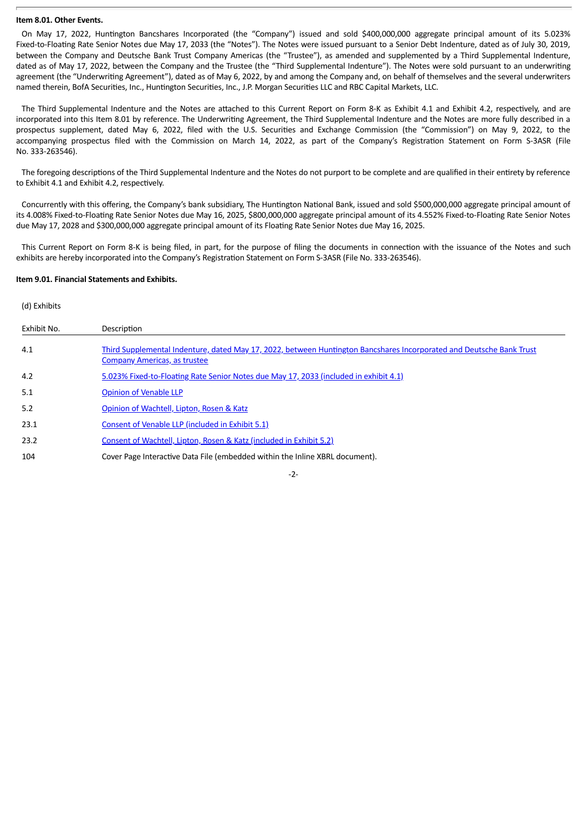#### **Item 8.01. Other Events.**

On May 17, 2022, Huntington Bancshares Incorporated (the "Company") issued and sold \$400,000,000 aggregate principal amount of its 5.023% Fixed-to-Floating Rate Senior Notes due May 17, 2033 (the "Notes"). The Notes were issued pursuant to a Senior Debt Indenture, dated as of July 30, 2019, between the Company and Deutsche Bank Trust Company Americas (the "Trustee"), as amended and supplemented by a Third Supplemental Indenture, dated as of May 17, 2022, between the Company and the Trustee (the "Third Supplemental Indenture"). The Notes were sold pursuant to an underwriting agreement (the "Underwriting Agreement"), dated as of May 6, 2022, by and among the Company and, on behalf of themselves and the several underwriters named therein, BofA Securities, Inc., Huntington Securities, Inc., J.P. Morgan Securities LLC and RBC Capital Markets, LLC.

The Third Supplemental Indenture and the Notes are attached to this Current Report on Form 8-K as Exhibit 4.1 and Exhibit 4.2, respectively, and are incorporated into this Item 8.01 by reference. The Underwriting Agreement, the Third Supplemental Indenture and the Notes are more fully described in a prospectus supplement, dated May 6, 2022, filed with the U.S. Securities and Exchange Commission (the "Commission") on May 9, 2022, to the accompanying prospectus filed with the Commission on March 14, 2022, as part of the Company's Registration Statement on Form S-3ASR (File No. 333-263546).

The foregoing descriptions of the Third Supplemental Indenture and the Notes do not purport to be complete and are qualified in their entirety by reference to Exhibit 4.1 and Exhibit 4.2, respectively.

Concurrently with this offering, the Company's bank subsidiary, The Huntington National Bank, issued and sold \$500,000,000 aggregate principal amount of its 4.008% Fixed-to-Floating Rate Senior Notes due May 16, 2025, \$800,000,000 aggregate principal amount of its 4.552% Fixed-to-Floating Rate Senior Notes due May 17, 2028 and \$300,000,000 aggregate principal amount of its Floating Rate Senior Notes due May 16, 2025.

This Current Report on Form 8-K is being filed, in part, for the purpose of filing the documents in connection with the issuance of the Notes and such exhibits are hereby incorporated into the Company's Registration Statement on Form S-3ASR (File No. 333-263546).

#### **Item 9.01. Financial Statements and Exhibits.**

#### (d) Exhibits

| Exhibit No. | Description                                                                                                                                          |
|-------------|------------------------------------------------------------------------------------------------------------------------------------------------------|
| 4.1         | Third Supplemental Indenture, dated May 17, 2022, between Huntington Bancshares Incorporated and Deutsche Bank Trust<br>Company Americas, as trustee |
| 4.2         | 5.023% Fixed-to-Floating Rate Senior Notes due May 17, 2033 (included in exhibit 4.1)                                                                |
| 5.1         | <b>Opinion of Venable LLP</b>                                                                                                                        |
| 5.2         | Opinion of Wachtell, Lipton, Rosen & Katz                                                                                                            |
| 23.1        | Consent of Venable LLP (included in Exhibit 5.1)                                                                                                     |
| 23.2        | Consent of Wachtell, Lipton, Rosen & Katz (included in Exhibit 5.2)                                                                                  |
| 104         | Cover Page Interactive Data File (embedded within the Inline XBRL document).                                                                         |

#### -2-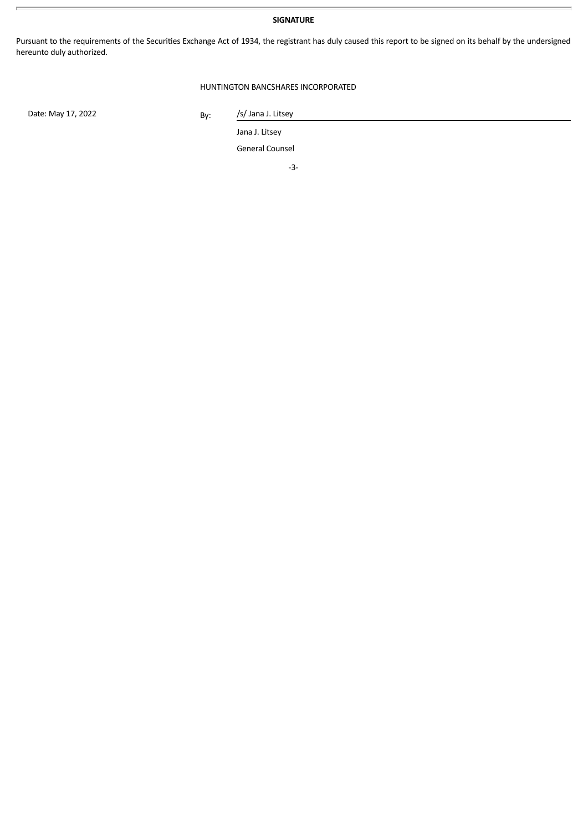#### **SIGNATURE**

Pursuant to the requirements of the Securities Exchange Act of 1934, the registrant has duly caused this report to be signed on its behalf by the undersigned hereunto duly authorized.

#### HUNTINGTON BANCSHARES INCORPORATED

Date: May 17, 2022  $\qquad \qquad$  By:  $\qquad \qquad$  /s/ Jana J. Litsey

Jana J. Litsey

General Counsel

-3-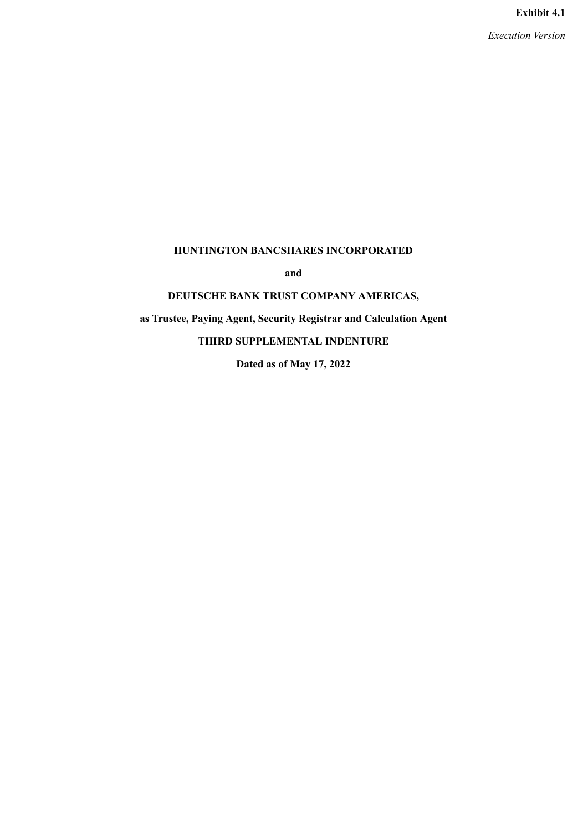#### **Exhibit 4.1**

*Execution Version*

### <span id="page-3-0"></span>**HUNTINGTON BANCSHARES INCORPORATED**

**and**

#### **DEUTSCHE BANK TRUST COMPANY AMERICAS,**

**as Trustee, Paying Agent, Security Registrar and Calculation Agent**

### **THIRD SUPPLEMENTAL INDENTURE**

**Dated as of May 17, 2022**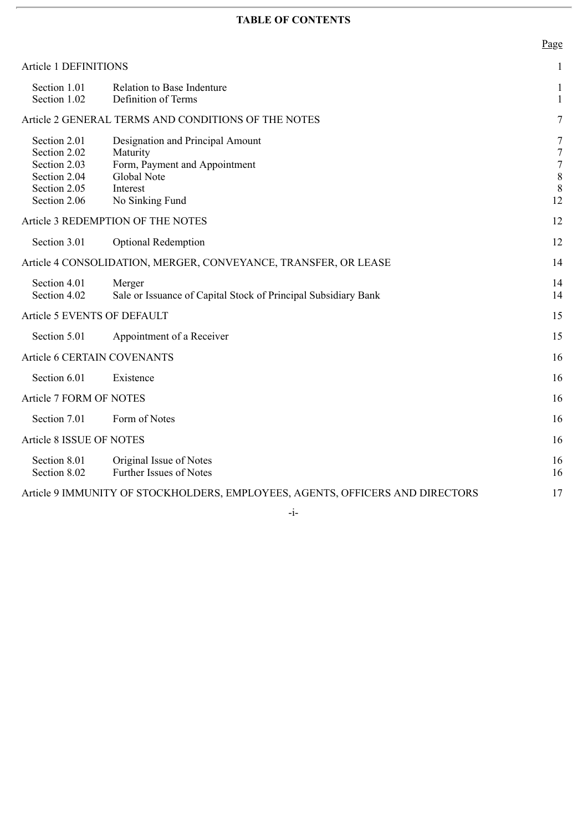# **TABLE OF CONTENTS**

|                                                                                              |                                                                                                                             | Page                                                    |
|----------------------------------------------------------------------------------------------|-----------------------------------------------------------------------------------------------------------------------------|---------------------------------------------------------|
| Article 1 DEFINITIONS                                                                        |                                                                                                                             | 1                                                       |
| Section 1.01<br>Section 1.02                                                                 | Relation to Base Indenture<br>Definition of Terms                                                                           | 1<br>$\mathbf{1}$                                       |
|                                                                                              | Article 2 GENERAL TERMS AND CONDITIONS OF THE NOTES                                                                         | $\overline{7}$                                          |
| Section 2.01<br>Section 2.02<br>Section 2.03<br>Section 2.04<br>Section 2.05<br>Section 2.06 | Designation and Principal Amount<br>Maturity<br>Form, Payment and Appointment<br>Global Note<br>Interest<br>No Sinking Fund | 7<br>$\boldsymbol{7}$<br>$\tau$<br>$\,$ $\,$<br>8<br>12 |
|                                                                                              | Article 3 REDEMPTION OF THE NOTES                                                                                           | 12                                                      |
| Section 3.01                                                                                 | <b>Optional Redemption</b>                                                                                                  | 12                                                      |
|                                                                                              | Article 4 CONSOLIDATION, MERGER, CONVEYANCE, TRANSFER, OR LEASE                                                             | 14                                                      |
| Section 4.01<br>Section 4.02                                                                 | Merger<br>Sale or Issuance of Capital Stock of Principal Subsidiary Bank                                                    | 14<br>14                                                |
| Article 5 EVENTS OF DEFAULT                                                                  |                                                                                                                             | 15                                                      |
| Section 5.01                                                                                 | Appointment of a Receiver                                                                                                   | 15                                                      |
| Article 6 CERTAIN COVENANTS                                                                  |                                                                                                                             | 16                                                      |
| Section 6.01                                                                                 | Existence                                                                                                                   | 16                                                      |
| Article 7 FORM OF NOTES                                                                      |                                                                                                                             | 16                                                      |
| Section 7.01                                                                                 | Form of Notes                                                                                                               | 16                                                      |
| Article 8 ISSUE OF NOTES                                                                     |                                                                                                                             | 16                                                      |
| Section 8.01<br>Section 8.02                                                                 | Original Issue of Notes<br><b>Further Issues of Notes</b>                                                                   | 16<br>16                                                |
|                                                                                              | Article 9 IMMUNITY OF STOCKHOLDERS, EMPLOYEES, AGENTS, OFFICERS AND DIRECTORS                                               | 17                                                      |

-i-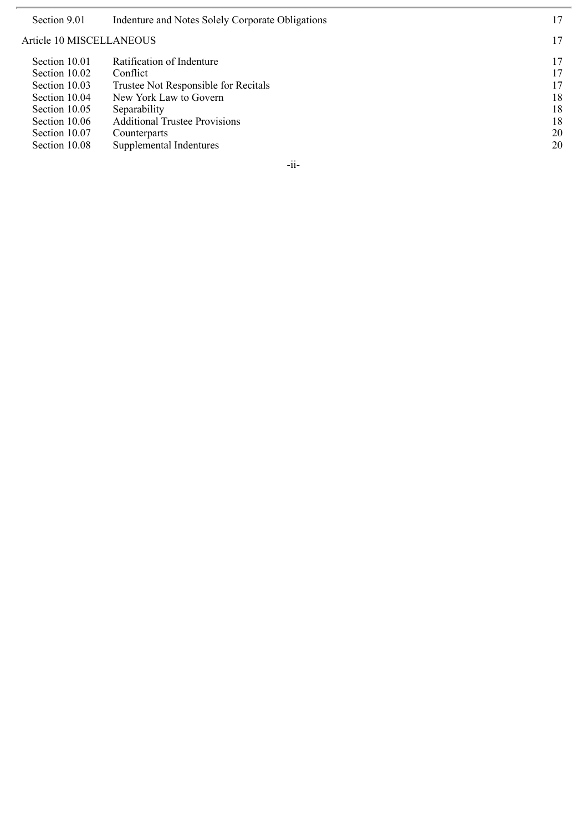| Section 9.01             | Indenture and Notes Solely Corporate Obligations | 17 |
|--------------------------|--------------------------------------------------|----|
| Article 10 MISCELLANEOUS |                                                  | 17 |
| Section 10.01            | Ratification of Indenture                        | 17 |
| Section 10.02            | Conflict                                         | 17 |
| Section 10.03            | Trustee Not Responsible for Recitals             | 17 |
| Section 10.04            | New York Law to Govern                           | 18 |
| Section 10.05            | Separability                                     | 18 |
| Section 10.06            | <b>Additional Trustee Provisions</b>             | 18 |
| Section 10.07            | Counterparts                                     | 20 |
| Section 10.08            | Supplemental Indentures                          | 20 |
|                          |                                                  |    |

-ii-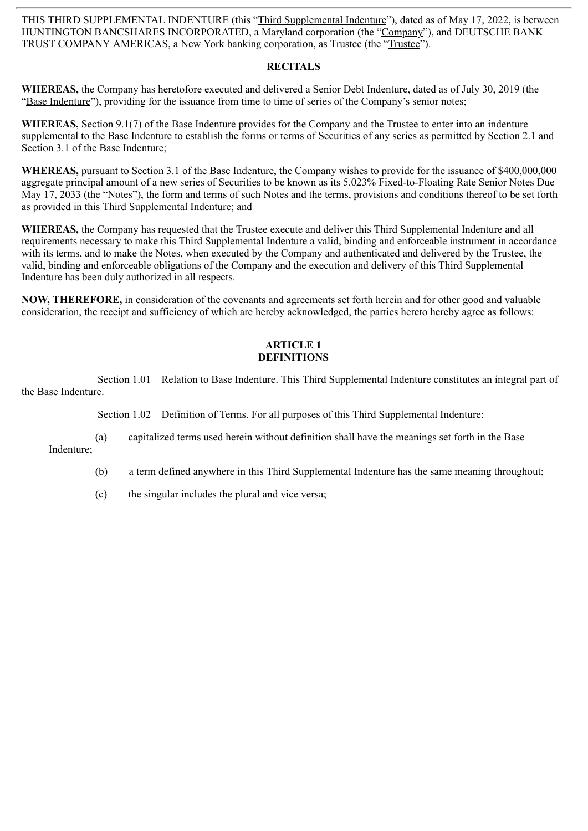THIS THIRD SUPPLEMENTAL INDENTURE (this "Third Supplemental Indenture"), dated as of May 17, 2022, is between HUNTINGTON BANCSHARES INCORPORATED, a Maryland corporation (the "Company"), and DEUTSCHE BANK TRUST COMPANY AMERICAS, a New York banking corporation, as Trustee (the "Trustee").

#### **RECITALS**

**WHEREAS,** the Company has heretofore executed and delivered a Senior Debt Indenture, dated as of July 30, 2019 (the "Base Indenture"), providing for the issuance from time to time of series of the Company's senior notes;

**WHEREAS,** Section 9.1(7) of the Base Indenture provides for the Company and the Trustee to enter into an indenture supplemental to the Base Indenture to establish the forms or terms of Securities of any series as permitted by Section 2.1 and Section 3.1 of the Base Indenture;

**WHEREAS,** pursuant to Section 3.1 of the Base Indenture, the Company wishes to provide for the issuance of \$400,000,000 aggregate principal amount of a new series of Securities to be known as its 5.023% Fixed-to-Floating Rate Senior Notes Due May 17, 2033 (the "Notes"), the form and terms of such Notes and the terms, provisions and conditions thereof to be set forth as provided in this Third Supplemental Indenture; and

**WHEREAS,** the Company has requested that the Trustee execute and deliver this Third Supplemental Indenture and all requirements necessary to make this Third Supplemental Indenture a valid, binding and enforceable instrument in accordance with its terms, and to make the Notes, when executed by the Company and authenticated and delivered by the Trustee, the valid, binding and enforceable obligations of the Company and the execution and delivery of this Third Supplemental Indenture has been duly authorized in all respects.

**NOW, THEREFORE,** in consideration of the covenants and agreements set forth herein and for other good and valuable consideration, the receipt and sufficiency of which are hereby acknowledged, the parties hereto hereby agree as follows:

#### **ARTICLE 1 DEFINITIONS**

Section 1.01 Relation to Base Indenture. This Third Supplemental Indenture constitutes an integral part of the Base Indenture.

Section 1.02 Definition of Terms. For all purposes of this Third Supplemental Indenture:

(a) capitalized terms used herein without definition shall have the meanings set forth in the Base Indenture;

- (b) a term defined anywhere in this Third Supplemental Indenture has the same meaning throughout;
- (c) the singular includes the plural and vice versa;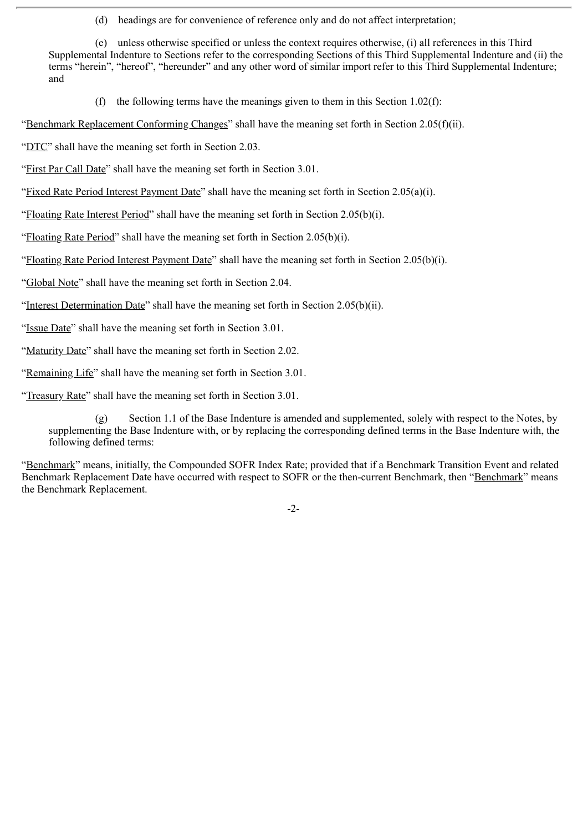(d) headings are for convenience of reference only and do not affect interpretation;

(e) unless otherwise specified or unless the context requires otherwise, (i) all references in this Third Supplemental Indenture to Sections refer to the corresponding Sections of this Third Supplemental Indenture and (ii) the terms "herein", "hereof", "hereunder" and any other word of similar import refer to this Third Supplemental Indenture; and

(f) the following terms have the meanings given to them in this Section  $1.02(f)$ :

"Benchmark Replacement Conforming Changes" shall have the meaning set forth in Section 2.05(f)(ii).

"DTC" shall have the meaning set forth in Section 2.03.

"First Par Call Date" shall have the meaning set forth in Section 3.01.

"Fixed Rate Period Interest Payment Date" shall have the meaning set forth in Section 2.05(a)(i).

"Floating Rate Interest Period" shall have the meaning set forth in Section 2.05(b)(i).

"Floating Rate Period" shall have the meaning set forth in Section 2.05(b)(i).

"Floating Rate Period Interest Payment Date" shall have the meaning set forth in Section 2.05(b)(i).

"Global Note" shall have the meaning set forth in Section 2.04.

"Interest Determination Date" shall have the meaning set forth in Section 2.05(b)(ii).

"Issue Date" shall have the meaning set forth in Section 3.01.

"Maturity Date" shall have the meaning set forth in Section 2.02.

"Remaining Life" shall have the meaning set forth in Section 3.01.

"Treasury Rate" shall have the meaning set forth in Section 3.01.

(g) Section 1.1 of the Base Indenture is amended and supplemented, solely with respect to the Notes, by supplementing the Base Indenture with, or by replacing the corresponding defined terms in the Base Indenture with, the following defined terms:

"Benchmark" means, initially, the Compounded SOFR Index Rate; provided that if a Benchmark Transition Event and related Benchmark Replacement Date have occurred with respect to SOFR or the then-current Benchmark, then "Benchmark" means the Benchmark Replacement.

-2-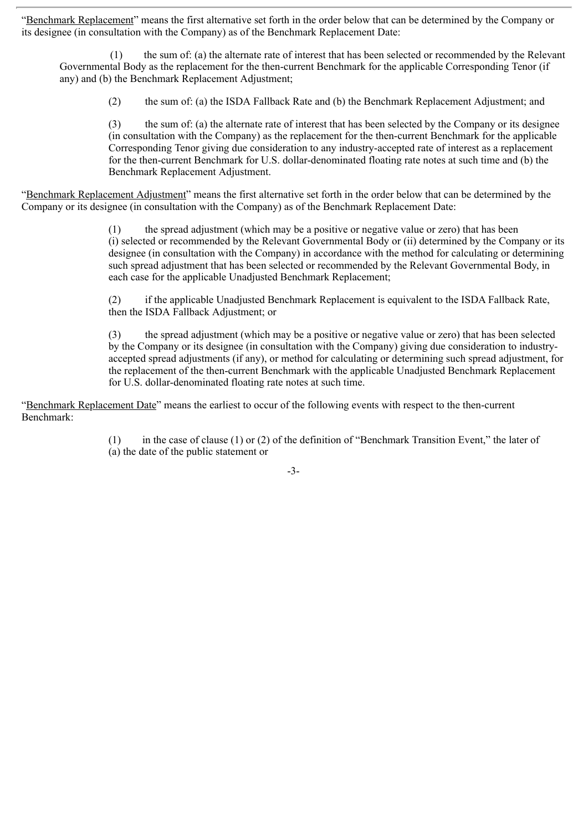"Benchmark Replacement" means the first alternative set forth in the order below that can be determined by the Company or its designee (in consultation with the Company) as of the Benchmark Replacement Date:

(1) the sum of: (a) the alternate rate of interest that has been selected or recommended by the Relevant Governmental Body as the replacement for the then-current Benchmark for the applicable Corresponding Tenor (if any) and (b) the Benchmark Replacement Adjustment;

(2) the sum of: (a) the ISDA Fallback Rate and (b) the Benchmark Replacement Adjustment; and

(3) the sum of: (a) the alternate rate of interest that has been selected by the Company or its designee (in consultation with the Company) as the replacement for the then-current Benchmark for the applicable Corresponding Tenor giving due consideration to any industry-accepted rate of interest as a replacement for the then-current Benchmark for U.S. dollar-denominated floating rate notes at such time and (b) the Benchmark Replacement Adjustment.

"Benchmark Replacement Adjustment" means the first alternative set forth in the order below that can be determined by the Company or its designee (in consultation with the Company) as of the Benchmark Replacement Date:

> (1) the spread adjustment (which may be a positive or negative value or zero) that has been (i) selected or recommended by the Relevant Governmental Body or (ii) determined by the Company or its designee (in consultation with the Company) in accordance with the method for calculating or determining such spread adjustment that has been selected or recommended by the Relevant Governmental Body, in each case for the applicable Unadjusted Benchmark Replacement;

(2) if the applicable Unadjusted Benchmark Replacement is equivalent to the ISDA Fallback Rate, then the ISDA Fallback Adjustment; or

(3) the spread adjustment (which may be a positive or negative value or zero) that has been selected by the Company or its designee (in consultation with the Company) giving due consideration to industryaccepted spread adjustments (if any), or method for calculating or determining such spread adjustment, for the replacement of the then-current Benchmark with the applicable Unadjusted Benchmark Replacement for U.S. dollar-denominated floating rate notes at such time.

"Benchmark Replacement Date" means the earliest to occur of the following events with respect to the then-current Benchmark:

> (1) in the case of clause (1) or (2) of the definition of "Benchmark Transition Event," the later of (a) the date of the public statement or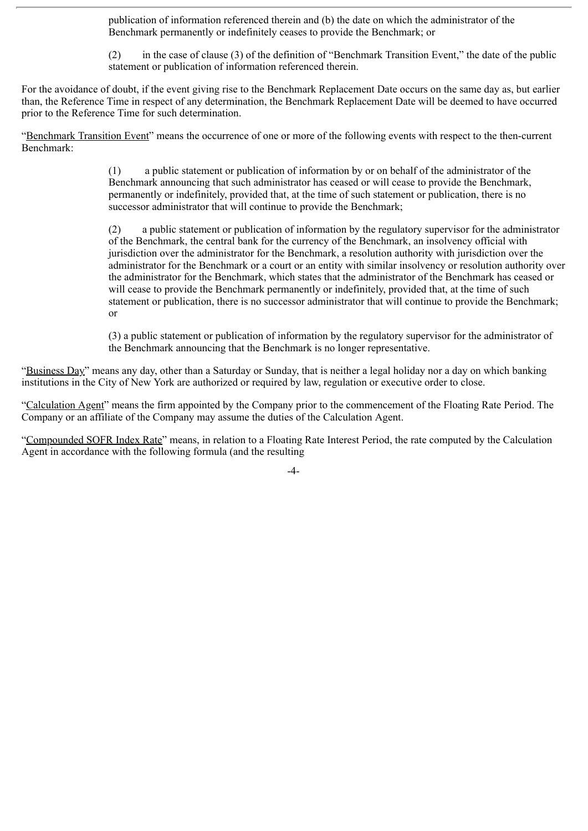publication of information referenced therein and (b) the date on which the administrator of the Benchmark permanently or indefinitely ceases to provide the Benchmark; or

(2) in the case of clause (3) of the definition of "Benchmark Transition Event," the date of the public statement or publication of information referenced therein.

For the avoidance of doubt, if the event giving rise to the Benchmark Replacement Date occurs on the same day as, but earlier than, the Reference Time in respect of any determination, the Benchmark Replacement Date will be deemed to have occurred prior to the Reference Time for such determination.

"Benchmark Transition Event" means the occurrence of one or more of the following events with respect to the then-current Benchmark:

> (1) a public statement or publication of information by or on behalf of the administrator of the Benchmark announcing that such administrator has ceased or will cease to provide the Benchmark, permanently or indefinitely, provided that, at the time of such statement or publication, there is no successor administrator that will continue to provide the Benchmark;

(2) a public statement or publication of information by the regulatory supervisor for the administrator of the Benchmark, the central bank for the currency of the Benchmark, an insolvency official with jurisdiction over the administrator for the Benchmark, a resolution authority with jurisdiction over the administrator for the Benchmark or a court or an entity with similar insolvency or resolution authority over the administrator for the Benchmark, which states that the administrator of the Benchmark has ceased or will cease to provide the Benchmark permanently or indefinitely, provided that, at the time of such statement or publication, there is no successor administrator that will continue to provide the Benchmark; or

(3) a public statement or publication of information by the regulatory supervisor for the administrator of the Benchmark announcing that the Benchmark is no longer representative.

"Business Day" means any day, other than a Saturday or Sunday, that is neither a legal holiday nor a day on which banking institutions in the City of New York are authorized or required by law, regulation or executive order to close.

"Calculation Agent" means the firm appointed by the Company prior to the commencement of the Floating Rate Period. The Company or an affiliate of the Company may assume the duties of the Calculation Agent.

"Compounded SOFR Index Rate" means, in relation to a Floating Rate Interest Period, the rate computed by the Calculation Agent in accordance with the following formula (and the resulting

-4-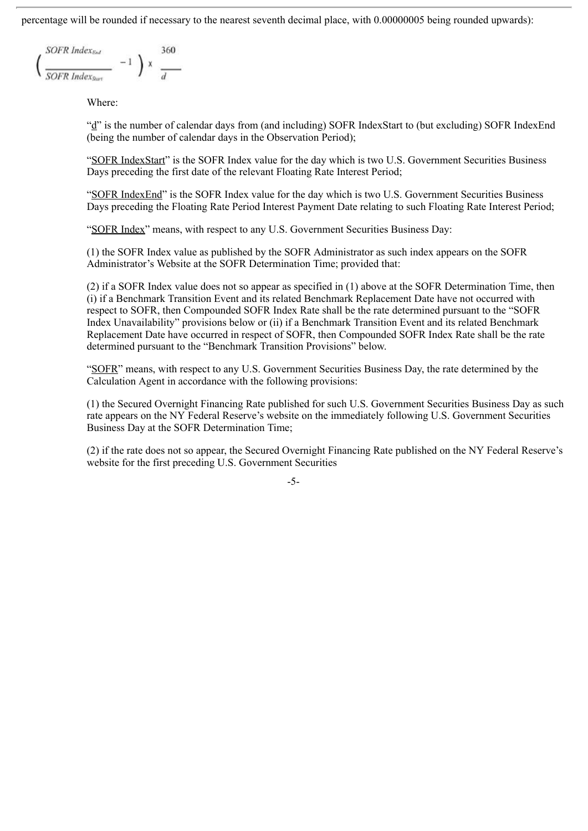percentage will be rounded if necessary to the nearest seventh decimal place, with 0.00000005 being rounded upwards):

$$
\left(\frac{SOFR \cdot Index_{\text{Ext}}}{SOFR \cdot Index_{\text{Star}}}-1\right) \times \frac{360}{d}
$$

Where:

"d" is the number of calendar days from (and including) SOFR IndexStart to (but excluding) SOFR IndexEnd (being the number of calendar days in the Observation Period);

"SOFR IndexStart" is the SOFR Index value for the day which is two U.S. Government Securities Business Days preceding the first date of the relevant Floating Rate Interest Period;

"SOFR IndexEnd" is the SOFR Index value for the day which is two U.S. Government Securities Business Days preceding the Floating Rate Period Interest Payment Date relating to such Floating Rate Interest Period;

"SOFR Index" means, with respect to any U.S. Government Securities Business Day:

(1) the SOFR Index value as published by the SOFR Administrator as such index appears on the SOFR Administrator's Website at the SOFR Determination Time; provided that:

(2) if a SOFR Index value does not so appear as specified in (1) above at the SOFR Determination Time, then (i) if a Benchmark Transition Event and its related Benchmark Replacement Date have not occurred with respect to SOFR, then Compounded SOFR Index Rate shall be the rate determined pursuant to the "SOFR Index Unavailability" provisions below or (ii) if a Benchmark Transition Event and its related Benchmark Replacement Date have occurred in respect of SOFR, then Compounded SOFR Index Rate shall be the rate determined pursuant to the "Benchmark Transition Provisions" below.

"SOFR" means, with respect to any U.S. Government Securities Business Day, the rate determined by the Calculation Agent in accordance with the following provisions:

(1) the Secured Overnight Financing Rate published for such U.S. Government Securities Business Day as such rate appears on the NY Federal Reserve's website on the immediately following U.S. Government Securities Business Day at the SOFR Determination Time;

(2) if the rate does not so appear, the Secured Overnight Financing Rate published on the NY Federal Reserve's website for the first preceding U.S. Government Securities

-5-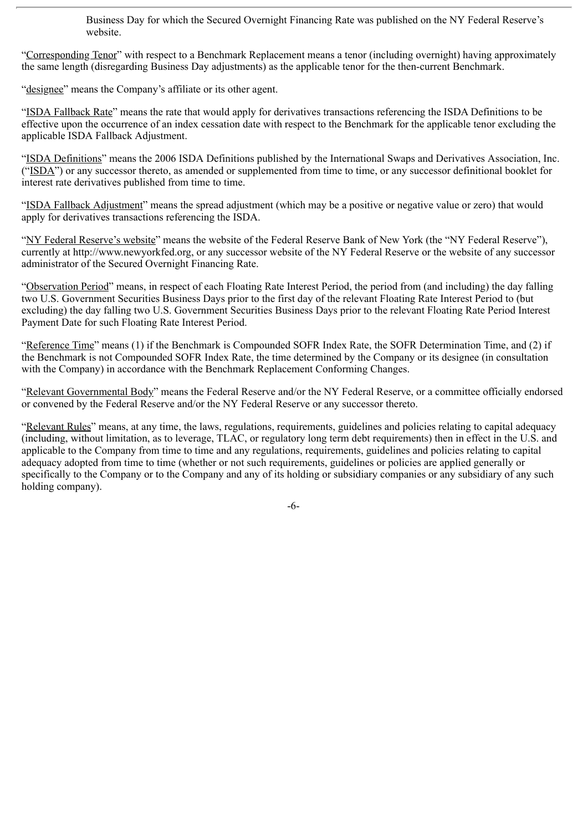Business Day for which the Secured Overnight Financing Rate was published on the NY Federal Reserve's website.

"Corresponding Tenor" with respect to a Benchmark Replacement means a tenor (including overnight) having approximately the same length (disregarding Business Day adjustments) as the applicable tenor for the then-current Benchmark.

"designee" means the Company's affiliate or its other agent.

"ISDA Fallback Rate" means the rate that would apply for derivatives transactions referencing the ISDA Definitions to be effective upon the occurrence of an index cessation date with respect to the Benchmark for the applicable tenor excluding the applicable ISDA Fallback Adjustment.

"ISDA Definitions" means the 2006 ISDA Definitions published by the International Swaps and Derivatives Association, Inc. ("ISDA") or any successor thereto, as amended or supplemented from time to time, or any successor definitional booklet for interest rate derivatives published from time to time.

"ISDA Fallback Adjustment" means the spread adjustment (which may be a positive or negative value or zero) that would apply for derivatives transactions referencing the ISDA.

"NY Federal Reserve's website" means the website of the Federal Reserve Bank of New York (the "NY Federal Reserve"), currently at http://www.newyorkfed.org, or any successor website of the NY Federal Reserve or the website of any successor administrator of the Secured Overnight Financing Rate.

"Observation Period" means, in respect of each Floating Rate Interest Period, the period from (and including) the day falling two U.S. Government Securities Business Days prior to the first day of the relevant Floating Rate Interest Period to (but excluding) the day falling two U.S. Government Securities Business Days prior to the relevant Floating Rate Period Interest Payment Date for such Floating Rate Interest Period.

"Reference Time" means (1) if the Benchmark is Compounded SOFR Index Rate, the SOFR Determination Time, and (2) if the Benchmark is not Compounded SOFR Index Rate, the time determined by the Company or its designee (in consultation with the Company) in accordance with the Benchmark Replacement Conforming Changes.

"Relevant Governmental Body" means the Federal Reserve and/or the NY Federal Reserve, or a committee officially endorsed or convened by the Federal Reserve and/or the NY Federal Reserve or any successor thereto.

"Relevant Rules" means, at any time, the laws, regulations, requirements, guidelines and policies relating to capital adequacy (including, without limitation, as to leverage, TLAC, or regulatory long term debt requirements) then in effect in the U.S. and applicable to the Company from time to time and any regulations, requirements, guidelines and policies relating to capital adequacy adopted from time to time (whether or not such requirements, guidelines or policies are applied generally or specifically to the Company or to the Company and any of its holding or subsidiary companies or any subsidiary of any such holding company).

-6-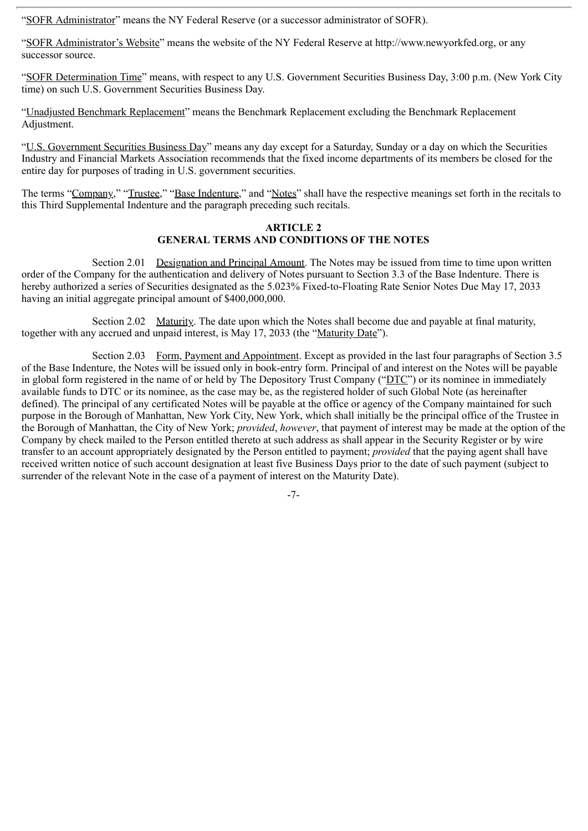"SOFR Administrator" means the NY Federal Reserve (or a successor administrator of SOFR).

"SOFR Administrator's Website" means the website of the NY Federal Reserve at http://www.newyorkfed.org, or any successor source.

"SOFR Determination Time" means, with respect to any U.S. Government Securities Business Day, 3:00 p.m. (New York City time) on such U.S. Government Securities Business Day.

"Unadjusted Benchmark Replacement" means the Benchmark Replacement excluding the Benchmark Replacement Adjustment.

"U.S. Government Securities Business Day" means any day except for a Saturday, Sunday or a day on which the Securities Industry and Financial Markets Association recommends that the fixed income departments of its members be closed for the entire day for purposes of trading in U.S. government securities.

The terms "Company," "Trustee," "Base Indenture," and "Notes" shall have the respective meanings set forth in the recitals to this Third Supplemental Indenture and the paragraph preceding such recitals.

#### **ARTICLE 2 GENERAL TERMS AND CONDITIONS OF THE NOTES**

Section 2.01 Designation and Principal Amount. The Notes may be issued from time to time upon written order of the Company for the authentication and delivery of Notes pursuant to Section 3.3 of the Base Indenture. There is hereby authorized a series of Securities designated as the 5.023% Fixed-to-Floating Rate Senior Notes Due May 17, 2033 having an initial aggregate principal amount of \$400,000,000.

Section 2.02 Maturity. The date upon which the Notes shall become due and payable at final maturity, together with any accrued and unpaid interest, is May 17, 2033 (the "Maturity Date").

Section 2.03 Form, Payment and Appointment. Except as provided in the last four paragraphs of Section 3.5 of the Base Indenture, the Notes will be issued only in book-entry form. Principal of and interest on the Notes will be payable in global form registered in the name of or held by The Depository Trust Company ("DTC") or its nominee in immediately available funds to DTC or its nominee, as the case may be, as the registered holder of such Global Note (as hereinafter defined). The principal of any certificated Notes will be payable at the office or agency of the Company maintained for such purpose in the Borough of Manhattan, New York City, New York, which shall initially be the principal office of the Trustee in the Borough of Manhattan, the City of New York; *provided*, *however*, that payment of interest may be made at the option of the Company by check mailed to the Person entitled thereto at such address as shall appear in the Security Register or by wire transfer to an account appropriately designated by the Person entitled to payment; *provided* that the paying agent shall have received written notice of such account designation at least five Business Days prior to the date of such payment (subject to surrender of the relevant Note in the case of a payment of interest on the Maturity Date).

-7-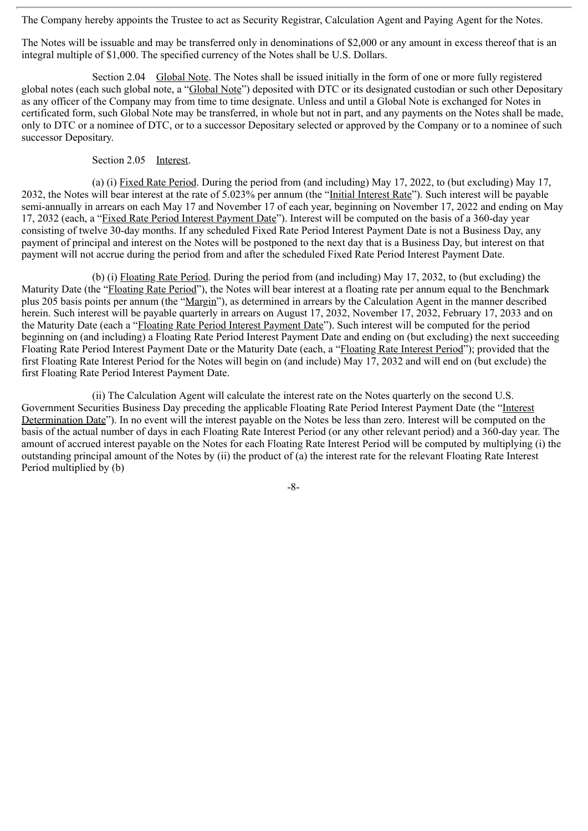The Company hereby appoints the Trustee to act as Security Registrar, Calculation Agent and Paying Agent for the Notes.

The Notes will be issuable and may be transferred only in denominations of \$2,000 or any amount in excess thereof that is an integral multiple of \$1,000. The specified currency of the Notes shall be U.S. Dollars.

Section 2.04 Global Note. The Notes shall be issued initially in the form of one or more fully registered global notes (each such global note, a "Global Note") deposited with DTC or its designated custodian or such other Depositary as any officer of the Company may from time to time designate. Unless and until a Global Note is exchanged for Notes in certificated form, such Global Note may be transferred, in whole but not in part, and any payments on the Notes shall be made, only to DTC or a nominee of DTC, or to a successor Depositary selected or approved by the Company or to a nominee of such successor Depositary.

#### Section 2.05 Interest.

(a) (i) Fixed Rate Period. During the period from (and including) May 17, 2022, to (but excluding) May 17, 2032, the Notes will bear interest at the rate of 5.023% per annum (the "Initial Interest Rate"). Such interest will be payable semi-annually in arrears on each May 17 and November 17 of each year, beginning on November 17, 2022 and ending on May 17, 2032 (each, a "Fixed Rate Period Interest Payment Date"). Interest will be computed on the basis of a 360-day year consisting of twelve 30-day months. If any scheduled Fixed Rate Period Interest Payment Date is not a Business Day, any payment of principal and interest on the Notes will be postponed to the next day that is a Business Day, but interest on that payment will not accrue during the period from and after the scheduled Fixed Rate Period Interest Payment Date.

(b) (i) Floating Rate Period. During the period from (and including) May 17, 2032, to (but excluding) the Maturity Date (the "Floating Rate Period"), the Notes will bear interest at a floating rate per annum equal to the Benchmark plus 205 basis points per annum (the "Margin"), as determined in arrears by the Calculation Agent in the manner described herein. Such interest will be payable quarterly in arrears on August 17, 2032, November 17, 2032, February 17, 2033 and on the Maturity Date (each a "Floating Rate Period Interest Payment Date"). Such interest will be computed for the period beginning on (and including) a Floating Rate Period Interest Payment Date and ending on (but excluding) the next succeeding Floating Rate Period Interest Payment Date or the Maturity Date (each, a "Floating Rate Interest Period"); provided that the first Floating Rate Interest Period for the Notes will begin on (and include) May 17, 2032 and will end on (but exclude) the first Floating Rate Period Interest Payment Date.

(ii) The Calculation Agent will calculate the interest rate on the Notes quarterly on the second U.S. Government Securities Business Day preceding the applicable Floating Rate Period Interest Payment Date (the "Interest Determination Date"). In no event will the interest payable on the Notes be less than zero. Interest will be computed on the basis of the actual number of days in each Floating Rate Interest Period (or any other relevant period) and a 360-day year. The amount of accrued interest payable on the Notes for each Floating Rate Interest Period will be computed by multiplying (i) the outstanding principal amount of the Notes by (ii) the product of (a) the interest rate for the relevant Floating Rate Interest Period multiplied by (b)

-8-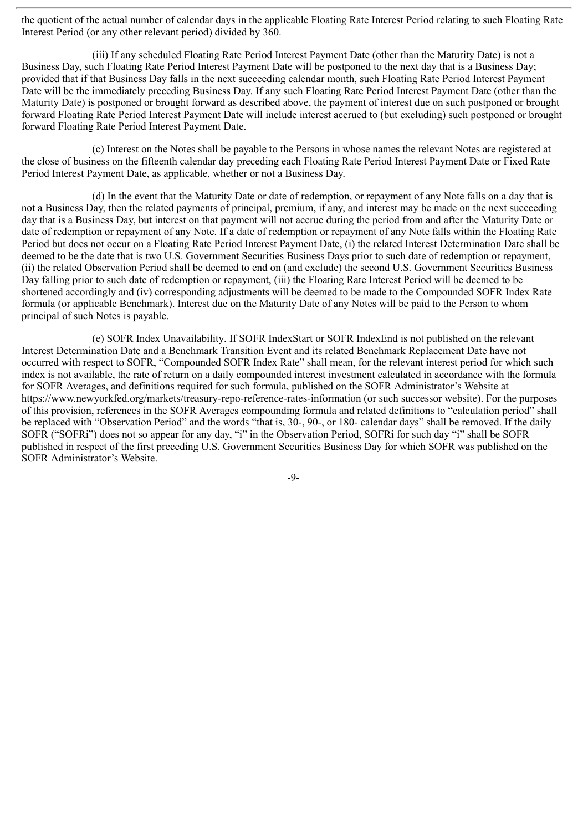the quotient of the actual number of calendar days in the applicable Floating Rate Interest Period relating to such Floating Rate Interest Period (or any other relevant period) divided by 360.

(iii) If any scheduled Floating Rate Period Interest Payment Date (other than the Maturity Date) is not a Business Day, such Floating Rate Period Interest Payment Date will be postponed to the next day that is a Business Day; provided that if that Business Day falls in the next succeeding calendar month, such Floating Rate Period Interest Payment Date will be the immediately preceding Business Day. If any such Floating Rate Period Interest Payment Date (other than the Maturity Date) is postponed or brought forward as described above, the payment of interest due on such postponed or brought forward Floating Rate Period Interest Payment Date will include interest accrued to (but excluding) such postponed or brought forward Floating Rate Period Interest Payment Date.

(c) Interest on the Notes shall be payable to the Persons in whose names the relevant Notes are registered at the close of business on the fifteenth calendar day preceding each Floating Rate Period Interest Payment Date or Fixed Rate Period Interest Payment Date, as applicable, whether or not a Business Day.

(d) In the event that the Maturity Date or date of redemption, or repayment of any Note falls on a day that is not a Business Day, then the related payments of principal, premium, if any, and interest may be made on the next succeeding day that is a Business Day, but interest on that payment will not accrue during the period from and after the Maturity Date or date of redemption or repayment of any Note. If a date of redemption or repayment of any Note falls within the Floating Rate Period but does not occur on a Floating Rate Period Interest Payment Date, (i) the related Interest Determination Date shall be deemed to be the date that is two U.S. Government Securities Business Days prior to such date of redemption or repayment, (ii) the related Observation Period shall be deemed to end on (and exclude) the second U.S. Government Securities Business Day falling prior to such date of redemption or repayment, (iii) the Floating Rate Interest Period will be deemed to be shortened accordingly and (iv) corresponding adjustments will be deemed to be made to the Compounded SOFR Index Rate formula (or applicable Benchmark). Interest due on the Maturity Date of any Notes will be paid to the Person to whom principal of such Notes is payable.

(e) SOFR Index Unavailability. If SOFR IndexStart or SOFR IndexEnd is not published on the relevant Interest Determination Date and a Benchmark Transition Event and its related Benchmark Replacement Date have not occurred with respect to SOFR, "Compounded SOFR Index Rate" shall mean, for the relevant interest period for which such index is not available, the rate of return on a daily compounded interest investment calculated in accordance with the formula for SOFR Averages, and definitions required for such formula, published on the SOFR Administrator's Website at https://www.newyorkfed.org/markets/treasury-repo-reference-rates-information (or such successor website). For the purposes of this provision, references in the SOFR Averages compounding formula and related definitions to "calculation period" shall be replaced with "Observation Period" and the words "that is, 30-, 90-, or 180- calendar days" shall be removed. If the daily SOFR ("SOFRi") does not so appear for any day, "i" in the Observation Period, SOFRi for such day "i" shall be SOFR published in respect of the first preceding U.S. Government Securities Business Day for which SOFR was published on the SOFR Administrator's Website.

-9-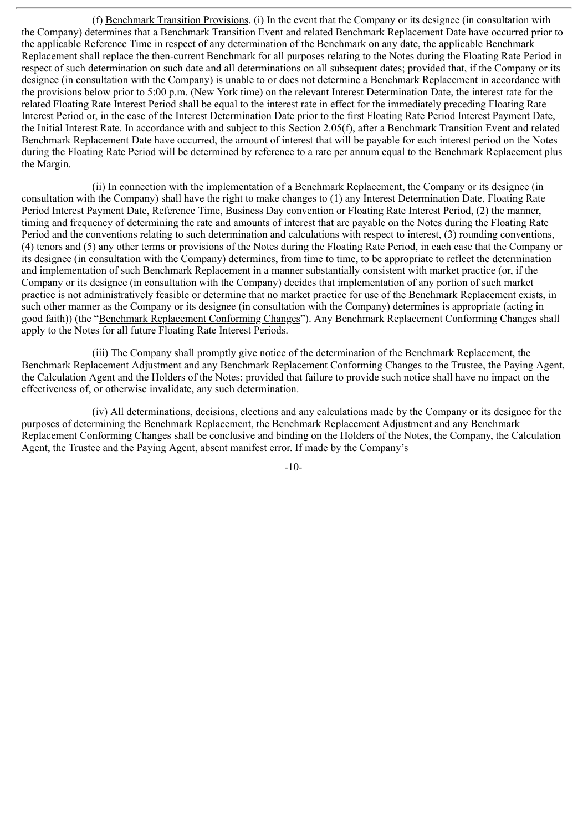(f) Benchmark Transition Provisions. (i) In the event that the Company or its designee (in consultation with the Company) determines that a Benchmark Transition Event and related Benchmark Replacement Date have occurred prior to the applicable Reference Time in respect of any determination of the Benchmark on any date, the applicable Benchmark Replacement shall replace the then-current Benchmark for all purposes relating to the Notes during the Floating Rate Period in respect of such determination on such date and all determinations on all subsequent dates; provided that, if the Company or its designee (in consultation with the Company) is unable to or does not determine a Benchmark Replacement in accordance with the provisions below prior to 5:00 p.m. (New York time) on the relevant Interest Determination Date, the interest rate for the related Floating Rate Interest Period shall be equal to the interest rate in effect for the immediately preceding Floating Rate Interest Period or, in the case of the Interest Determination Date prior to the first Floating Rate Period Interest Payment Date, the Initial Interest Rate. In accordance with and subject to this Section 2.05(f), after a Benchmark Transition Event and related Benchmark Replacement Date have occurred, the amount of interest that will be payable for each interest period on the Notes during the Floating Rate Period will be determined by reference to a rate per annum equal to the Benchmark Replacement plus the Margin.

(ii) In connection with the implementation of a Benchmark Replacement, the Company or its designee (in consultation with the Company) shall have the right to make changes to (1) any Interest Determination Date, Floating Rate Period Interest Payment Date, Reference Time, Business Day convention or Floating Rate Interest Period, (2) the manner, timing and frequency of determining the rate and amounts of interest that are payable on the Notes during the Floating Rate Period and the conventions relating to such determination and calculations with respect to interest, (3) rounding conventions, (4) tenors and (5) any other terms or provisions of the Notes during the Floating Rate Period, in each case that the Company or its designee (in consultation with the Company) determines, from time to time, to be appropriate to reflect the determination and implementation of such Benchmark Replacement in a manner substantially consistent with market practice (or, if the Company or its designee (in consultation with the Company) decides that implementation of any portion of such market practice is not administratively feasible or determine that no market practice for use of the Benchmark Replacement exists, in such other manner as the Company or its designee (in consultation with the Company) determines is appropriate (acting in good faith)) (the "Benchmark Replacement Conforming Changes"). Any Benchmark Replacement Conforming Changes shall apply to the Notes for all future Floating Rate Interest Periods.

(iii) The Company shall promptly give notice of the determination of the Benchmark Replacement, the Benchmark Replacement Adjustment and any Benchmark Replacement Conforming Changes to the Trustee, the Paying Agent, the Calculation Agent and the Holders of the Notes; provided that failure to provide such notice shall have no impact on the effectiveness of, or otherwise invalidate, any such determination.

(iv) All determinations, decisions, elections and any calculations made by the Company or its designee for the purposes of determining the Benchmark Replacement, the Benchmark Replacement Adjustment and any Benchmark Replacement Conforming Changes shall be conclusive and binding on the Holders of the Notes, the Company, the Calculation Agent, the Trustee and the Paying Agent, absent manifest error. If made by the Company's

-10-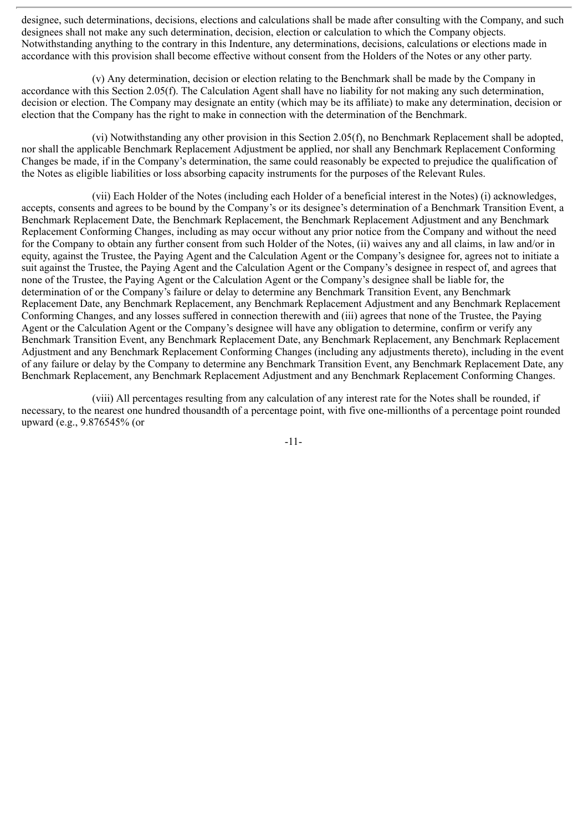designee, such determinations, decisions, elections and calculations shall be made after consulting with the Company, and such designees shall not make any such determination, decision, election or calculation to which the Company objects. Notwithstanding anything to the contrary in this Indenture, any determinations, decisions, calculations or elections made in accordance with this provision shall become effective without consent from the Holders of the Notes or any other party.

(v) Any determination, decision or election relating to the Benchmark shall be made by the Company in accordance with this Section 2.05(f). The Calculation Agent shall have no liability for not making any such determination, decision or election. The Company may designate an entity (which may be its affiliate) to make any determination, decision or election that the Company has the right to make in connection with the determination of the Benchmark.

(vi) Notwithstanding any other provision in this Section 2.05(f), no Benchmark Replacement shall be adopted, nor shall the applicable Benchmark Replacement Adjustment be applied, nor shall any Benchmark Replacement Conforming Changes be made, if in the Company's determination, the same could reasonably be expected to prejudice the qualification of the Notes as eligible liabilities or loss absorbing capacity instruments for the purposes of the Relevant Rules.

(vii) Each Holder of the Notes (including each Holder of a beneficial interest in the Notes) (i) acknowledges, accepts, consents and agrees to be bound by the Company's or its designee's determination of a Benchmark Transition Event, a Benchmark Replacement Date, the Benchmark Replacement, the Benchmark Replacement Adjustment and any Benchmark Replacement Conforming Changes, including as may occur without any prior notice from the Company and without the need for the Company to obtain any further consent from such Holder of the Notes, (ii) waives any and all claims, in law and/or in equity, against the Trustee, the Paying Agent and the Calculation Agent or the Company's designee for, agrees not to initiate a suit against the Trustee, the Paying Agent and the Calculation Agent or the Company's designee in respect of, and agrees that none of the Trustee, the Paying Agent or the Calculation Agent or the Company's designee shall be liable for, the determination of or the Company's failure or delay to determine any Benchmark Transition Event, any Benchmark Replacement Date, any Benchmark Replacement, any Benchmark Replacement Adjustment and any Benchmark Replacement Conforming Changes, and any losses suffered in connection therewith and (iii) agrees that none of the Trustee, the Paying Agent or the Calculation Agent or the Company's designee will have any obligation to determine, confirm or verify any Benchmark Transition Event, any Benchmark Replacement Date, any Benchmark Replacement, any Benchmark Replacement Adjustment and any Benchmark Replacement Conforming Changes (including any adjustments thereto), including in the event of any failure or delay by the Company to determine any Benchmark Transition Event, any Benchmark Replacement Date, any Benchmark Replacement, any Benchmark Replacement Adjustment and any Benchmark Replacement Conforming Changes.

(viii) All percentages resulting from any calculation of any interest rate for the Notes shall be rounded, if necessary, to the nearest one hundred thousandth of a percentage point, with five one-millionths of a percentage point rounded upward (e.g., 9.876545% (or

-11-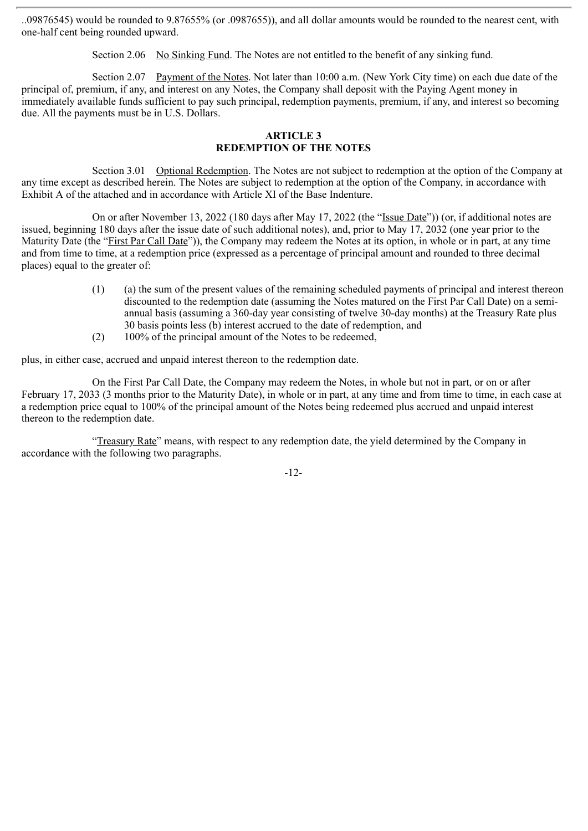..09876545) would be rounded to 9.87655% (or .0987655)), and all dollar amounts would be rounded to the nearest cent, with one-half cent being rounded upward.

Section 2.06 No Sinking Fund. The Notes are not entitled to the benefit of any sinking fund.

Section 2.07 Payment of the Notes. Not later than 10:00 a.m. (New York City time) on each due date of the principal of, premium, if any, and interest on any Notes, the Company shall deposit with the Paying Agent money in immediately available funds sufficient to pay such principal, redemption payments, premium, if any, and interest so becoming due. All the payments must be in U.S. Dollars.

#### **ARTICLE 3 REDEMPTION OF THE NOTES**

Section 3.01 Optional Redemption. The Notes are not subject to redemption at the option of the Company at any time except as described herein. The Notes are subject to redemption at the option of the Company, in accordance with Exhibit A of the attached and in accordance with Article XI of the Base Indenture.

On or after November 13, 2022 (180 days after May 17, 2022 (the "Issue Date")) (or, if additional notes are issued, beginning 180 days after the issue date of such additional notes), and, prior to May 17, 2032 (one year prior to the Maturity Date (the "First Par Call Date")), the Company may redeem the Notes at its option, in whole or in part, at any time and from time to time, at a redemption price (expressed as a percentage of principal amount and rounded to three decimal places) equal to the greater of:

- (1) (a) the sum of the present values of the remaining scheduled payments of principal and interest thereon discounted to the redemption date (assuming the Notes matured on the First Par Call Date) on a semiannual basis (assuming a 360-day year consisting of twelve 30-day months) at the Treasury Rate plus 30 basis points less (b) interest accrued to the date of redemption, and
- (2) 100% of the principal amount of the Notes to be redeemed,

plus, in either case, accrued and unpaid interest thereon to the redemption date.

On the First Par Call Date, the Company may redeem the Notes, in whole but not in part, or on or after February 17, 2033 (3 months prior to the Maturity Date), in whole or in part, at any time and from time to time, in each case at a redemption price equal to 100% of the principal amount of the Notes being redeemed plus accrued and unpaid interest thereon to the redemption date.

"Treasury Rate" means, with respect to any redemption date, the yield determined by the Company in accordance with the following two paragraphs.

-12-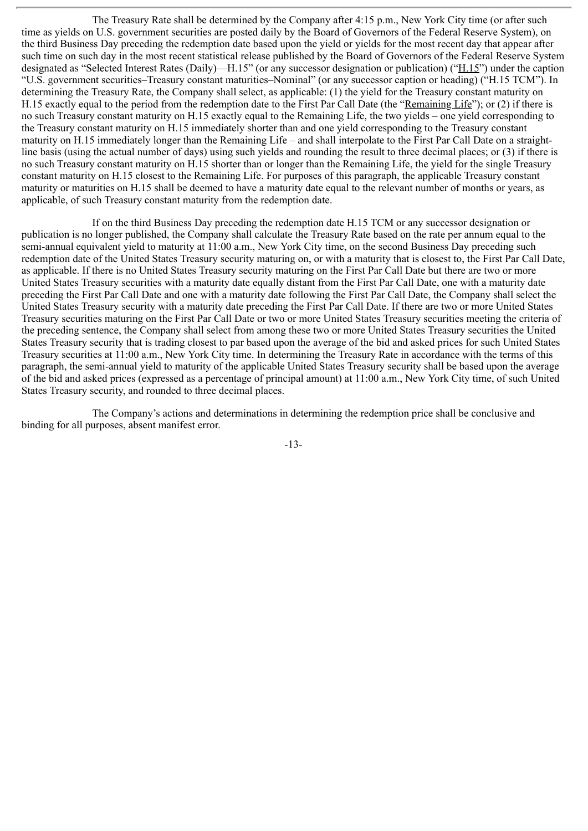The Treasury Rate shall be determined by the Company after 4:15 p.m., New York City time (or after such time as yields on U.S. government securities are posted daily by the Board of Governors of the Federal Reserve System), on the third Business Day preceding the redemption date based upon the yield or yields for the most recent day that appear after such time on such day in the most recent statistical release published by the Board of Governors of the Federal Reserve System designated as "Selected Interest Rates (Daily)—H.15" (or any successor designation or publication) ("H.15") under the caption "U.S. government securities–Treasury constant maturities–Nominal" (or any successor caption or heading) ("H.15 TCM"). In determining the Treasury Rate, the Company shall select, as applicable: (1) the yield for the Treasury constant maturity on H.15 exactly equal to the period from the redemption date to the First Par Call Date (the "Remaining Life"); or (2) if there is no such Treasury constant maturity on H.15 exactly equal to the Remaining Life, the two yields – one yield corresponding to the Treasury constant maturity on H.15 immediately shorter than and one yield corresponding to the Treasury constant maturity on H.15 immediately longer than the Remaining Life – and shall interpolate to the First Par Call Date on a straightline basis (using the actual number of days) using such yields and rounding the result to three decimal places; or (3) if there is no such Treasury constant maturity on H.15 shorter than or longer than the Remaining Life, the yield for the single Treasury constant maturity on H.15 closest to the Remaining Life. For purposes of this paragraph, the applicable Treasury constant maturity or maturities on H.15 shall be deemed to have a maturity date equal to the relevant number of months or years, as applicable, of such Treasury constant maturity from the redemption date.

If on the third Business Day preceding the redemption date H.15 TCM or any successor designation or publication is no longer published, the Company shall calculate the Treasury Rate based on the rate per annum equal to the semi-annual equivalent yield to maturity at 11:00 a.m., New York City time, on the second Business Day preceding such redemption date of the United States Treasury security maturing on, or with a maturity that is closest to, the First Par Call Date, as applicable. If there is no United States Treasury security maturing on the First Par Call Date but there are two or more United States Treasury securities with a maturity date equally distant from the First Par Call Date, one with a maturity date preceding the First Par Call Date and one with a maturity date following the First Par Call Date, the Company shall select the United States Treasury security with a maturity date preceding the First Par Call Date. If there are two or more United States Treasury securities maturing on the First Par Call Date or two or more United States Treasury securities meeting the criteria of the preceding sentence, the Company shall select from among these two or more United States Treasury securities the United States Treasury security that is trading closest to par based upon the average of the bid and asked prices for such United States Treasury securities at 11:00 a.m., New York City time. In determining the Treasury Rate in accordance with the terms of this paragraph, the semi-annual yield to maturity of the applicable United States Treasury security shall be based upon the average of the bid and asked prices (expressed as a percentage of principal amount) at 11:00 a.m., New York City time, of such United States Treasury security, and rounded to three decimal places.

The Company's actions and determinations in determining the redemption price shall be conclusive and binding for all purposes, absent manifest error.

-13-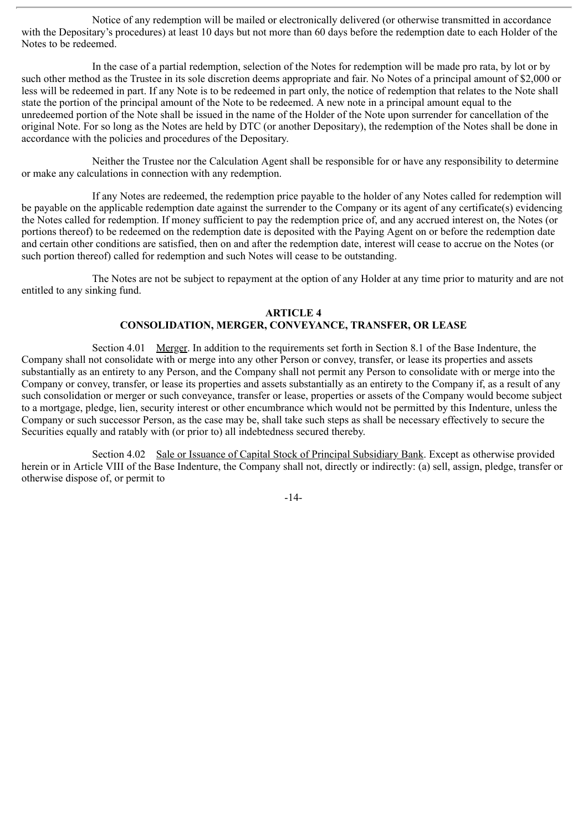Notice of any redemption will be mailed or electronically delivered (or otherwise transmitted in accordance with the Depositary's procedures) at least 10 days but not more than 60 days before the redemption date to each Holder of the Notes to be redeemed.

In the case of a partial redemption, selection of the Notes for redemption will be made pro rata, by lot or by such other method as the Trustee in its sole discretion deems appropriate and fair. No Notes of a principal amount of \$2,000 or less will be redeemed in part. If any Note is to be redeemed in part only, the notice of redemption that relates to the Note shall state the portion of the principal amount of the Note to be redeemed. A new note in a principal amount equal to the unredeemed portion of the Note shall be issued in the name of the Holder of the Note upon surrender for cancellation of the original Note. For so long as the Notes are held by DTC (or another Depositary), the redemption of the Notes shall be done in accordance with the policies and procedures of the Depositary.

Neither the Trustee nor the Calculation Agent shall be responsible for or have any responsibility to determine or make any calculations in connection with any redemption.

If any Notes are redeemed, the redemption price payable to the holder of any Notes called for redemption will be payable on the applicable redemption date against the surrender to the Company or its agent of any certificate(s) evidencing the Notes called for redemption. If money sufficient to pay the redemption price of, and any accrued interest on, the Notes (or portions thereof) to be redeemed on the redemption date is deposited with the Paying Agent on or before the redemption date and certain other conditions are satisfied, then on and after the redemption date, interest will cease to accrue on the Notes (or such portion thereof) called for redemption and such Notes will cease to be outstanding.

The Notes are not be subject to repayment at the option of any Holder at any time prior to maturity and are not entitled to any sinking fund.

#### **ARTICLE 4 CONSOLIDATION, MERGER, CONVEYANCE, TRANSFER, OR LEASE**

Section 4.01 Merger. In addition to the requirements set forth in Section 8.1 of the Base Indenture, the Company shall not consolidate with or merge into any other Person or convey, transfer, or lease its properties and assets substantially as an entirety to any Person, and the Company shall not permit any Person to consolidate with or merge into the Company or convey, transfer, or lease its properties and assets substantially as an entirety to the Company if, as a result of any such consolidation or merger or such conveyance, transfer or lease, properties or assets of the Company would become subject to a mortgage, pledge, lien, security interest or other encumbrance which would not be permitted by this Indenture, unless the Company or such successor Person, as the case may be, shall take such steps as shall be necessary effectively to secure the Securities equally and ratably with (or prior to) all indebtedness secured thereby.

Section 4.02 Sale or Issuance of Capital Stock of Principal Subsidiary Bank. Except as otherwise provided herein or in Article VIII of the Base Indenture, the Company shall not, directly or indirectly: (a) sell, assign, pledge, transfer or otherwise dispose of, or permit to

-14-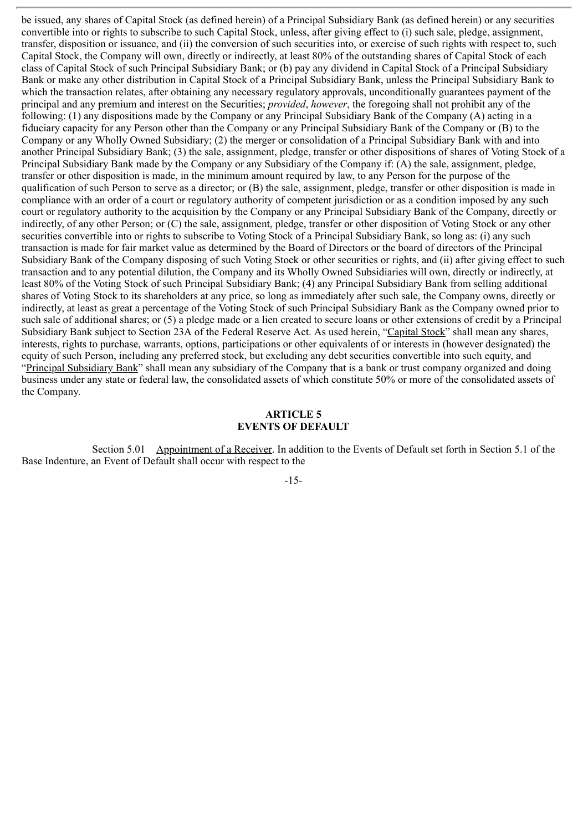be issued, any shares of Capital Stock (as defined herein) of a Principal Subsidiary Bank (as defined herein) or any securities convertible into or rights to subscribe to such Capital Stock, unless, after giving effect to (i) such sale, pledge, assignment, transfer, disposition or issuance, and (ii) the conversion of such securities into, or exercise of such rights with respect to, such Capital Stock, the Company will own, directly or indirectly, at least 80% of the outstanding shares of Capital Stock of each class of Capital Stock of such Principal Subsidiary Bank; or (b) pay any dividend in Capital Stock of a Principal Subsidiary Bank or make any other distribution in Capital Stock of a Principal Subsidiary Bank, unless the Principal Subsidiary Bank to which the transaction relates, after obtaining any necessary regulatory approvals, unconditionally guarantees payment of the principal and any premium and interest on the Securities; *provided*, *however*, the foregoing shall not prohibit any of the following: (1) any dispositions made by the Company or any Principal Subsidiary Bank of the Company (A) acting in a fiduciary capacity for any Person other than the Company or any Principal Subsidiary Bank of the Company or (B) to the Company or any Wholly Owned Subsidiary; (2) the merger or consolidation of a Principal Subsidiary Bank with and into another Principal Subsidiary Bank; (3) the sale, assignment, pledge, transfer or other dispositions of shares of Voting Stock of a Principal Subsidiary Bank made by the Company or any Subsidiary of the Company if: (A) the sale, assignment, pledge, transfer or other disposition is made, in the minimum amount required by law, to any Person for the purpose of the qualification of such Person to serve as a director; or (B) the sale, assignment, pledge, transfer or other disposition is made in compliance with an order of a court or regulatory authority of competent jurisdiction or as a condition imposed by any such court or regulatory authority to the acquisition by the Company or any Principal Subsidiary Bank of the Company, directly or indirectly, of any other Person; or (C) the sale, assignment, pledge, transfer or other disposition of Voting Stock or any other securities convertible into or rights to subscribe to Voting Stock of a Principal Subsidiary Bank, so long as: (i) any such transaction is made for fair market value as determined by the Board of Directors or the board of directors of the Principal Subsidiary Bank of the Company disposing of such Voting Stock or other securities or rights, and (ii) after giving effect to such transaction and to any potential dilution, the Company and its Wholly Owned Subsidiaries will own, directly or indirectly, at least 80% of the Voting Stock of such Principal Subsidiary Bank; (4) any Principal Subsidiary Bank from selling additional shares of Voting Stock to its shareholders at any price, so long as immediately after such sale, the Company owns, directly or indirectly, at least as great a percentage of the Voting Stock of such Principal Subsidiary Bank as the Company owned prior to such sale of additional shares; or (5) a pledge made or a lien created to secure loans or other extensions of credit by a Principal Subsidiary Bank subject to Section 23A of the Federal Reserve Act. As used herein, "Capital Stock" shall mean any shares, interests, rights to purchase, warrants, options, participations or other equivalents of or interests in (however designated) the equity of such Person, including any preferred stock, but excluding any debt securities convertible into such equity, and "Principal Subsidiary Bank" shall mean any subsidiary of the Company that is a bank or trust company organized and doing business under any state or federal law, the consolidated assets of which constitute 50% or more of the consolidated assets of the Company.

#### **ARTICLE 5 EVENTS OF DEFAULT**

Section 5.01 Appointment of a Receiver. In addition to the Events of Default set forth in Section 5.1 of the Base Indenture, an Event of Default shall occur with respect to the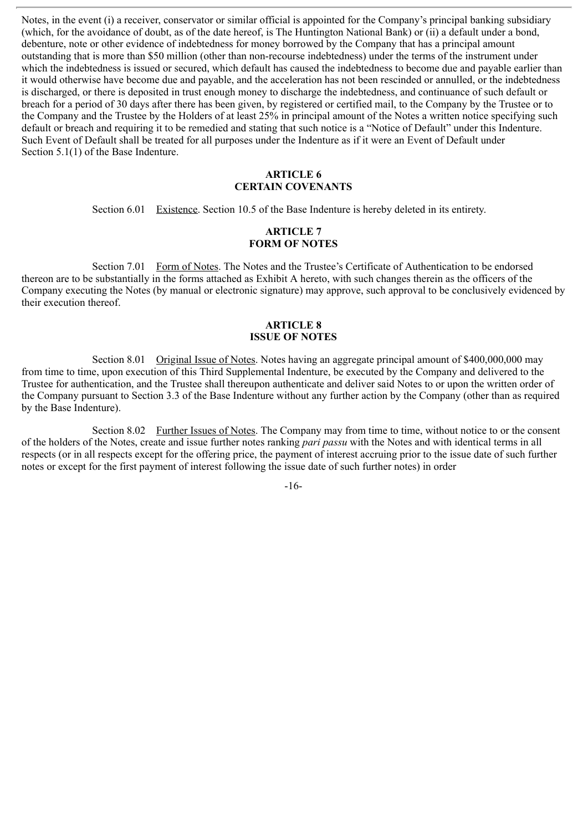Notes, in the event (i) a receiver, conservator or similar official is appointed for the Company's principal banking subsidiary (which, for the avoidance of doubt, as of the date hereof, is The Huntington National Bank) or (ii) a default under a bond, debenture, note or other evidence of indebtedness for money borrowed by the Company that has a principal amount outstanding that is more than \$50 million (other than non-recourse indebtedness) under the terms of the instrument under which the indebtedness is issued or secured, which default has caused the indebtedness to become due and payable earlier than it would otherwise have become due and payable, and the acceleration has not been rescinded or annulled, or the indebtedness is discharged, or there is deposited in trust enough money to discharge the indebtedness, and continuance of such default or breach for a period of 30 days after there has been given, by registered or certified mail, to the Company by the Trustee or to the Company and the Trustee by the Holders of at least 25% in principal amount of the Notes a written notice specifying such default or breach and requiring it to be remedied and stating that such notice is a "Notice of Default" under this Indenture. Such Event of Default shall be treated for all purposes under the Indenture as if it were an Event of Default under Section 5.1(1) of the Base Indenture.

#### **ARTICLE 6 CERTAIN COVENANTS**

Section 6.01 Existence. Section 10.5 of the Base Indenture is hereby deleted in its entirety.

#### **ARTICLE 7 FORM OF NOTES**

Section 7.01 Form of Notes. The Notes and the Trustee's Certificate of Authentication to be endorsed thereon are to be substantially in the forms attached as Exhibit A hereto, with such changes therein as the officers of the Company executing the Notes (by manual or electronic signature) may approve, such approval to be conclusively evidenced by their execution thereof.

#### **ARTICLE 8 ISSUE OF NOTES**

Section 8.01 Original Issue of Notes. Notes having an aggregate principal amount of \$400,000,000 may from time to time, upon execution of this Third Supplemental Indenture, be executed by the Company and delivered to the Trustee for authentication, and the Trustee shall thereupon authenticate and deliver said Notes to or upon the written order of the Company pursuant to Section 3.3 of the Base Indenture without any further action by the Company (other than as required by the Base Indenture).

Section 8.02 Further Issues of Notes. The Company may from time to time, without notice to or the consent of the holders of the Notes, create and issue further notes ranking *pari passu* with the Notes and with identical terms in all respects (or in all respects except for the offering price, the payment of interest accruing prior to the issue date of such further notes or except for the first payment of interest following the issue date of such further notes) in order

-16-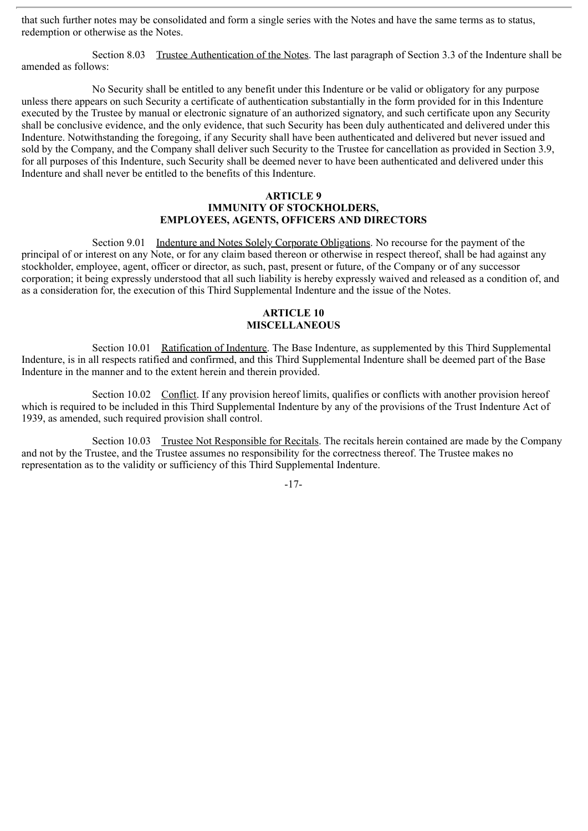that such further notes may be consolidated and form a single series with the Notes and have the same terms as to status, redemption or otherwise as the Notes.

Section 8.03 Trustee Authentication of the Notes. The last paragraph of Section 3.3 of the Indenture shall be amended as follows:

No Security shall be entitled to any benefit under this Indenture or be valid or obligatory for any purpose unless there appears on such Security a certificate of authentication substantially in the form provided for in this Indenture executed by the Trustee by manual or electronic signature of an authorized signatory, and such certificate upon any Security shall be conclusive evidence, and the only evidence, that such Security has been duly authenticated and delivered under this Indenture. Notwithstanding the foregoing, if any Security shall have been authenticated and delivered but never issued and sold by the Company, and the Company shall deliver such Security to the Trustee for cancellation as provided in Section 3.9, for all purposes of this Indenture, such Security shall be deemed never to have been authenticated and delivered under this Indenture and shall never be entitled to the benefits of this Indenture.

#### **ARTICLE 9 IMMUNITY OF STOCKHOLDERS, EMPLOYEES, AGENTS, OFFICERS AND DIRECTORS**

Section 9.01 Indenture and Notes Solely Corporate Obligations. No recourse for the payment of the principal of or interest on any Note, or for any claim based thereon or otherwise in respect thereof, shall be had against any stockholder, employee, agent, officer or director, as such, past, present or future, of the Company or of any successor corporation; it being expressly understood that all such liability is hereby expressly waived and released as a condition of, and as a consideration for, the execution of this Third Supplemental Indenture and the issue of the Notes.

#### **ARTICLE 10 MISCELLANEOUS**

Section 10.01 Ratification of Indenture. The Base Indenture, as supplemented by this Third Supplemental Indenture, is in all respects ratified and confirmed, and this Third Supplemental Indenture shall be deemed part of the Base Indenture in the manner and to the extent herein and therein provided.

Section 10.02 Conflict. If any provision hereof limits, qualifies or conflicts with another provision hereof which is required to be included in this Third Supplemental Indenture by any of the provisions of the Trust Indenture Act of 1939, as amended, such required provision shall control.

Section 10.03 Trustee Not Responsible for Recitals. The recitals herein contained are made by the Company and not by the Trustee, and the Trustee assumes no responsibility for the correctness thereof. The Trustee makes no representation as to the validity or sufficiency of this Third Supplemental Indenture.

-17-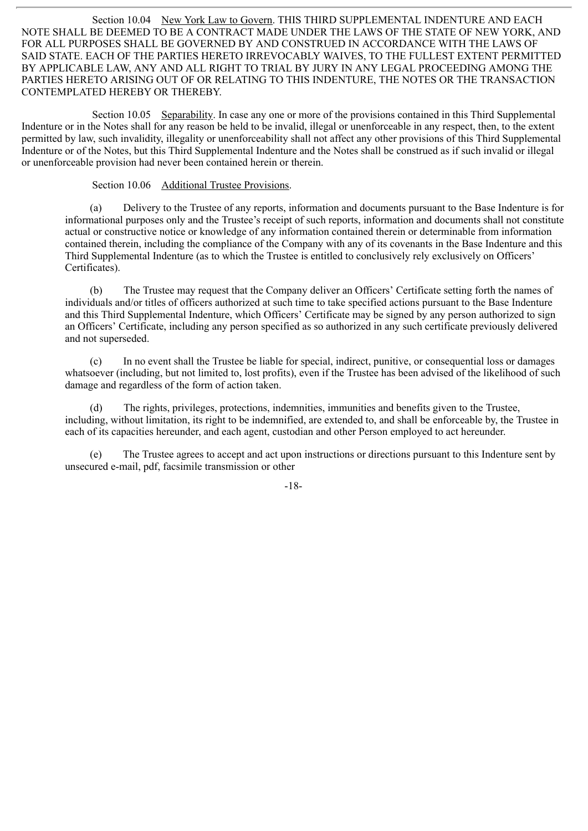Section 10.04 New York Law to Govern. THIS THIRD SUPPLEMENTAL INDENTURE AND EACH NOTE SHALL BE DEEMED TO BE A CONTRACT MADE UNDER THE LAWS OF THE STATE OF NEW YORK, AND FOR ALL PURPOSES SHALL BE GOVERNED BY AND CONSTRUED IN ACCORDANCE WITH THE LAWS OF SAID STATE. EACH OF THE PARTIES HERETO IRREVOCABLY WAIVES, TO THE FULLEST EXTENT PERMITTED BY APPLICABLE LAW, ANY AND ALL RIGHT TO TRIAL BY JURY IN ANY LEGAL PROCEEDING AMONG THE PARTIES HERETO ARISING OUT OF OR RELATING TO THIS INDENTURE, THE NOTES OR THE TRANSACTION CONTEMPLATED HEREBY OR THEREBY.

Section 10.05 Separability. In case any one or more of the provisions contained in this Third Supplemental Indenture or in the Notes shall for any reason be held to be invalid, illegal or unenforceable in any respect, then, to the extent permitted by law, such invalidity, illegality or unenforceability shall not affect any other provisions of this Third Supplemental Indenture or of the Notes, but this Third Supplemental Indenture and the Notes shall be construed as if such invalid or illegal or unenforceable provision had never been contained herein or therein.

Section 10.06 Additional Trustee Provisions.

(a) Delivery to the Trustee of any reports, information and documents pursuant to the Base Indenture is for informational purposes only and the Trustee's receipt of such reports, information and documents shall not constitute actual or constructive notice or knowledge of any information contained therein or determinable from information contained therein, including the compliance of the Company with any of its covenants in the Base Indenture and this Third Supplemental Indenture (as to which the Trustee is entitled to conclusively rely exclusively on Officers' Certificates).

(b) The Trustee may request that the Company deliver an Officers' Certificate setting forth the names of individuals and/or titles of officers authorized at such time to take specified actions pursuant to the Base Indenture and this Third Supplemental Indenture, which Officers' Certificate may be signed by any person authorized to sign an Officers' Certificate, including any person specified as so authorized in any such certificate previously delivered and not superseded.

(c) In no event shall the Trustee be liable for special, indirect, punitive, or consequential loss or damages whatsoever (including, but not limited to, lost profits), even if the Trustee has been advised of the likelihood of such damage and regardless of the form of action taken.

(d) The rights, privileges, protections, indemnities, immunities and benefits given to the Trustee, including, without limitation, its right to be indemnified, are extended to, and shall be enforceable by, the Trustee in each of its capacities hereunder, and each agent, custodian and other Person employed to act hereunder.

(e) The Trustee agrees to accept and act upon instructions or directions pursuant to this Indenture sent by unsecured e-mail, pdf, facsimile transmission or other

-18-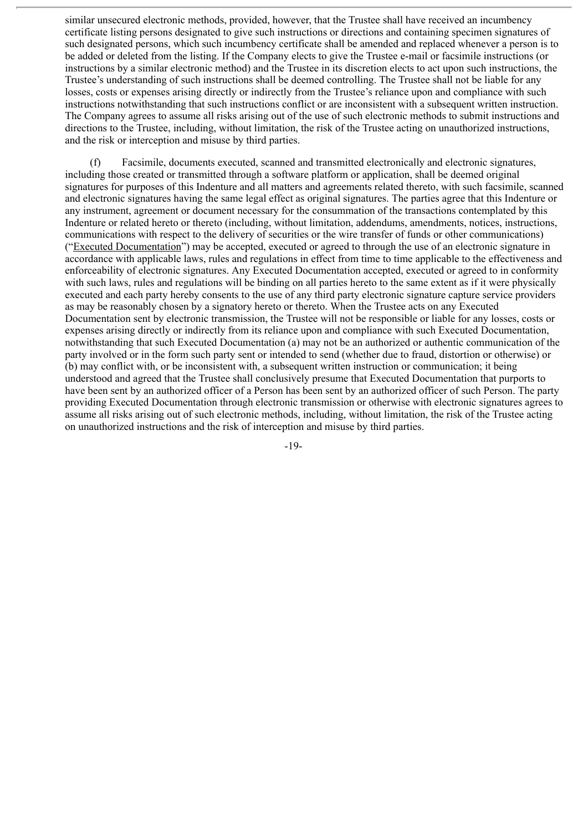similar unsecured electronic methods, provided, however, that the Trustee shall have received an incumbency certificate listing persons designated to give such instructions or directions and containing specimen signatures of such designated persons, which such incumbency certificate shall be amended and replaced whenever a person is to be added or deleted from the listing. If the Company elects to give the Trustee e-mail or facsimile instructions (or instructions by a similar electronic method) and the Trustee in its discretion elects to act upon such instructions, the Trustee's understanding of such instructions shall be deemed controlling. The Trustee shall not be liable for any losses, costs or expenses arising directly or indirectly from the Trustee's reliance upon and compliance with such instructions notwithstanding that such instructions conflict or are inconsistent with a subsequent written instruction. The Company agrees to assume all risks arising out of the use of such electronic methods to submit instructions and directions to the Trustee, including, without limitation, the risk of the Trustee acting on unauthorized instructions, and the risk or interception and misuse by third parties.

(f) Facsimile, documents executed, scanned and transmitted electronically and electronic signatures, including those created or transmitted through a software platform or application, shall be deemed original signatures for purposes of this Indenture and all matters and agreements related thereto, with such facsimile, scanned and electronic signatures having the same legal effect as original signatures. The parties agree that this Indenture or any instrument, agreement or document necessary for the consummation of the transactions contemplated by this Indenture or related hereto or thereto (including, without limitation, addendums, amendments, notices, instructions, communications with respect to the delivery of securities or the wire transfer of funds or other communications) ("Executed Documentation") may be accepted, executed or agreed to through the use of an electronic signature in accordance with applicable laws, rules and regulations in effect from time to time applicable to the effectiveness and enforceability of electronic signatures. Any Executed Documentation accepted, executed or agreed to in conformity with such laws, rules and regulations will be binding on all parties hereto to the same extent as if it were physically executed and each party hereby consents to the use of any third party electronic signature capture service providers as may be reasonably chosen by a signatory hereto or thereto. When the Trustee acts on any Executed Documentation sent by electronic transmission, the Trustee will not be responsible or liable for any losses, costs or expenses arising directly or indirectly from its reliance upon and compliance with such Executed Documentation, notwithstanding that such Executed Documentation (a) may not be an authorized or authentic communication of the party involved or in the form such party sent or intended to send (whether due to fraud, distortion or otherwise) or (b) may conflict with, or be inconsistent with, a subsequent written instruction or communication; it being understood and agreed that the Trustee shall conclusively presume that Executed Documentation that purports to have been sent by an authorized officer of a Person has been sent by an authorized officer of such Person. The party providing Executed Documentation through electronic transmission or otherwise with electronic signatures agrees to assume all risks arising out of such electronic methods, including, without limitation, the risk of the Trustee acting on unauthorized instructions and the risk of interception and misuse by third parties.

-19-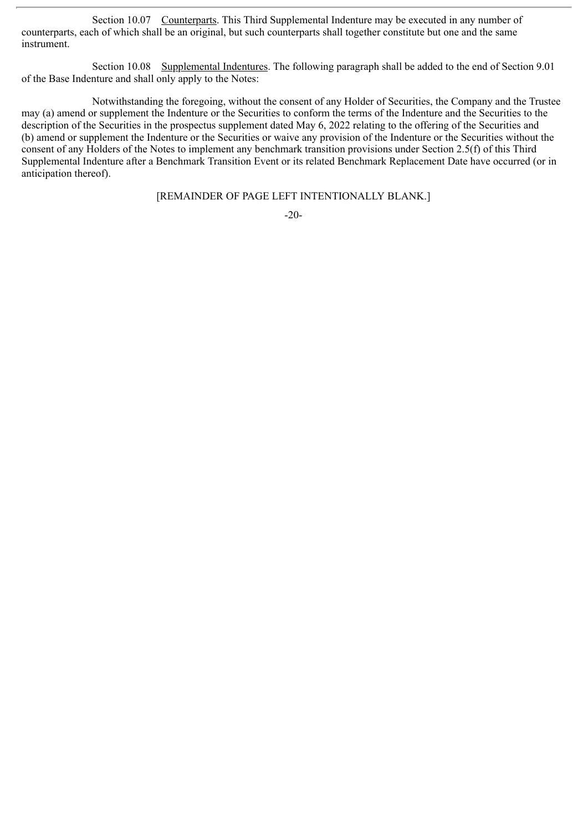Section 10.07 Counterparts. This Third Supplemental Indenture may be executed in any number of counterparts, each of which shall be an original, but such counterparts shall together constitute but one and the same instrument.

Section 10.08 Supplemental Indentures. The following paragraph shall be added to the end of Section 9.01 of the Base Indenture and shall only apply to the Notes:

Notwithstanding the foregoing, without the consent of any Holder of Securities, the Company and the Trustee may (a) amend or supplement the Indenture or the Securities to conform the terms of the Indenture and the Securities to the description of the Securities in the prospectus supplement dated May 6, 2022 relating to the offering of the Securities and (b) amend or supplement the Indenture or the Securities or waive any provision of the Indenture or the Securities without the consent of any Holders of the Notes to implement any benchmark transition provisions under Section 2.5(f) of this Third Supplemental Indenture after a Benchmark Transition Event or its related Benchmark Replacement Date have occurred (or in anticipation thereof).

[REMAINDER OF PAGE LEFT INTENTIONALLY BLANK.]

-20-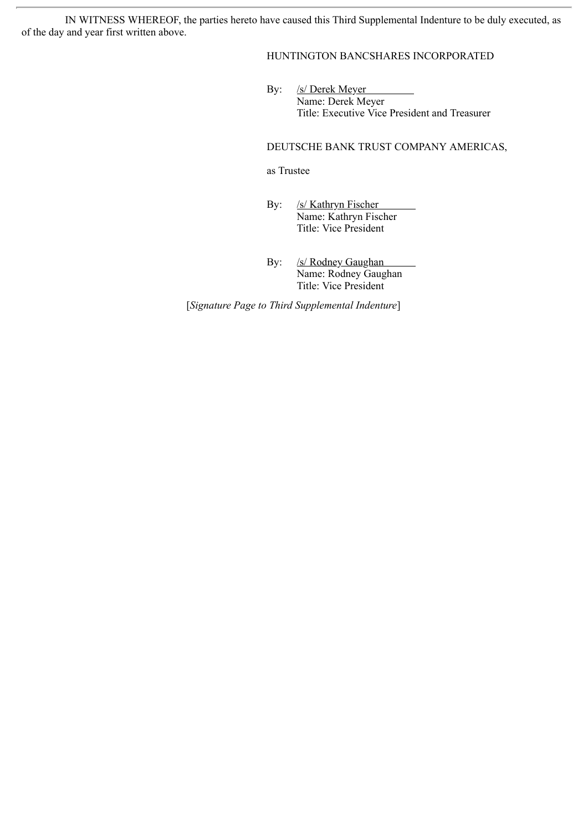IN WITNESS WHEREOF, the parties hereto have caused this Third Supplemental Indenture to be duly executed, as of the day and year first written above.

#### HUNTINGTON BANCSHARES INCORPORATED

By: /s/ Derek Meyer Name: Derek Meyer Title: Executive Vice President and Treasurer

DEUTSCHE BANK TRUST COMPANY AMERICAS,

as Trustee

By: /s/ Kathryn Fischer Name: Kathryn Fischer Title: Vice President

By: /s/ Rodney Gaughan Name: Rodney Gaughan Title: Vice President

[*Signature Page to Third Supplemental Indenture*]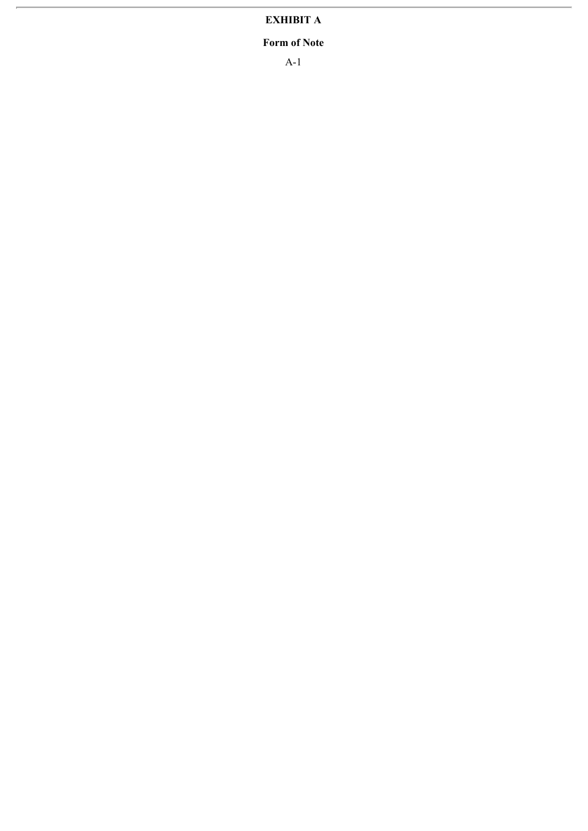# **EXHIBIT A**

# **Form of Note**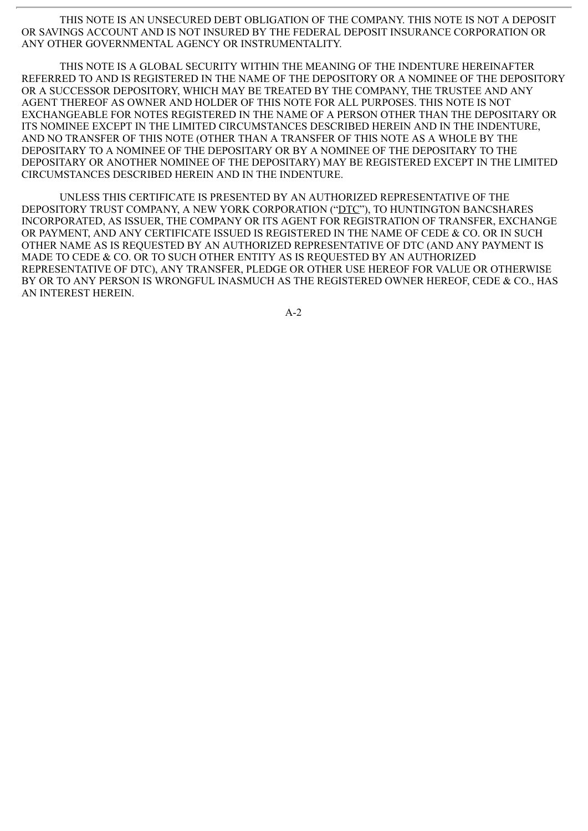THIS NOTE IS AN UNSECURED DEBT OBLIGATION OF THE COMPANY. THIS NOTE IS NOT A DEPOSIT OR SAVINGS ACCOUNT AND IS NOT INSURED BY THE FEDERAL DEPOSIT INSURANCE CORPORATION OR ANY OTHER GOVERNMENTAL AGENCY OR INSTRUMENTALITY.

THIS NOTE IS A GLOBAL SECURITY WITHIN THE MEANING OF THE INDENTURE HEREINAFTER REFERRED TO AND IS REGISTERED IN THE NAME OF THE DEPOSITORY OR A NOMINEE OF THE DEPOSITORY OR A SUCCESSOR DEPOSITORY, WHICH MAY BE TREATED BY THE COMPANY, THE TRUSTEE AND ANY AGENT THEREOF AS OWNER AND HOLDER OF THIS NOTE FOR ALL PURPOSES. THIS NOTE IS NOT EXCHANGEABLE FOR NOTES REGISTERED IN THE NAME OF A PERSON OTHER THAN THE DEPOSITARY OR ITS NOMINEE EXCEPT IN THE LIMITED CIRCUMSTANCES DESCRIBED HEREIN AND IN THE INDENTURE, AND NO TRANSFER OF THIS NOTE (OTHER THAN A TRANSFER OF THIS NOTE AS A WHOLE BY THE DEPOSITARY TO A NOMINEE OF THE DEPOSITARY OR BY A NOMINEE OF THE DEPOSITARY TO THE DEPOSITARY OR ANOTHER NOMINEE OF THE DEPOSITARY) MAY BE REGISTERED EXCEPT IN THE LIMITED CIRCUMSTANCES DESCRIBED HEREIN AND IN THE INDENTURE.

UNLESS THIS CERTIFICATE IS PRESENTED BY AN AUTHORIZED REPRESENTATIVE OF THE DEPOSITORY TRUST COMPANY, A NEW YORK CORPORATION ("DTC"), TO HUNTINGTON BANCSHARES INCORPORATED, AS ISSUER, THE COMPANY OR ITS AGENT FOR REGISTRATION OF TRANSFER, EXCHANGE OR PAYMENT, AND ANY CERTIFICATE ISSUED IS REGISTERED IN THE NAME OF CEDE & CO. OR IN SUCH OTHER NAME AS IS REQUESTED BY AN AUTHORIZED REPRESENTATIVE OF DTC (AND ANY PAYMENT IS MADE TO CEDE & CO. OR TO SUCH OTHER ENTITY AS IS REQUESTED BY AN AUTHORIZED REPRESENTATIVE OF DTC), ANY TRANSFER, PLEDGE OR OTHER USE HEREOF FOR VALUE OR OTHERWISE BY OR TO ANY PERSON IS WRONGFUL INASMUCH AS THE REGISTERED OWNER HEREOF, CEDE & CO., HAS AN INTEREST HEREIN.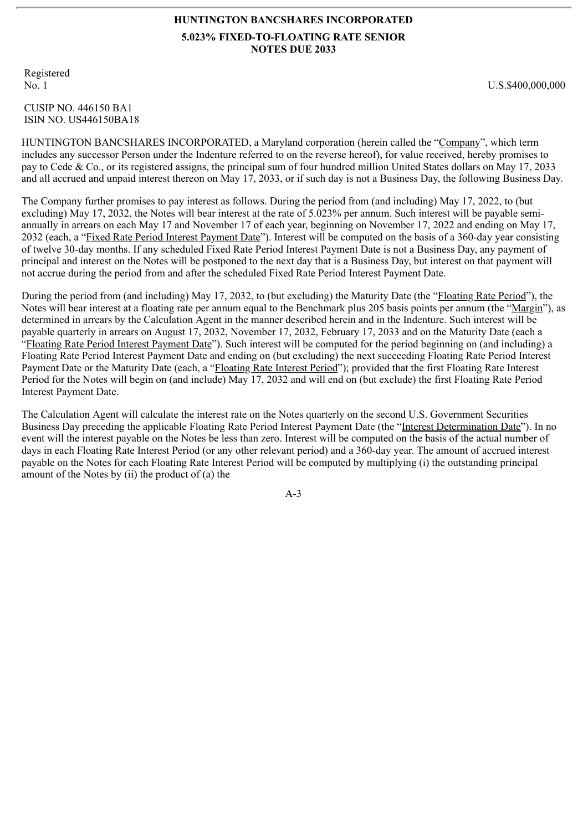### **HUNTINGTON BANCSHARES INCORPORATED 5.023% FIXED-TO-FLOATING RATE SENIOR NOTES DUE 2033**

Registered

No. 1 U.S.\$400,000,000

#### CUSIP NO. 446150 BA1 ISIN NO. US446150BA18

HUNTINGTON BANCSHARES INCORPORATED, a Maryland corporation (herein called the "Company", which term includes any successor Person under the Indenture referred to on the reverse hereof), for value received, hereby promises to pay to Cede & Co., or its registered assigns, the principal sum of four hundred million United States dollars on May 17, 2033 and all accrued and unpaid interest thereon on May 17, 2033, or if such day is not a Business Day, the following Business Day.

The Company further promises to pay interest as follows. During the period from (and including) May 17, 2022, to (but excluding) May 17, 2032, the Notes will bear interest at the rate of 5.023% per annum. Such interest will be payable semiannually in arrears on each May 17 and November 17 of each year, beginning on November 17, 2022 and ending on May 17, 2032 (each, a "Fixed Rate Period Interest Payment Date"). Interest will be computed on the basis of a 360-day year consisting of twelve 30-day months. If any scheduled Fixed Rate Period Interest Payment Date is not a Business Day, any payment of principal and interest on the Notes will be postponed to the next day that is a Business Day, but interest on that payment will not accrue during the period from and after the scheduled Fixed Rate Period Interest Payment Date.

During the period from (and including) May 17, 2032, to (but excluding) the Maturity Date (the "Floating Rate Period"), the Notes will bear interest at a floating rate per annum equal to the Benchmark plus 205 basis points per annum (the "Margin"), as determined in arrears by the Calculation Agent in the manner described herein and in the Indenture. Such interest will be payable quarterly in arrears on August 17, 2032, November 17, 2032, February 17, 2033 and on the Maturity Date (each a "Floating Rate Period Interest Payment Date"). Such interest will be computed for the period beginning on (and including) a Floating Rate Period Interest Payment Date and ending on (but excluding) the next succeeding Floating Rate Period Interest Payment Date or the Maturity Date (each, a "Floating Rate Interest Period"); provided that the first Floating Rate Interest Period for the Notes will begin on (and include) May 17, 2032 and will end on (but exclude) the first Floating Rate Period Interest Payment Date.

The Calculation Agent will calculate the interest rate on the Notes quarterly on the second U.S. Government Securities Business Day preceding the applicable Floating Rate Period Interest Payment Date (the "Interest Determination Date"). In no event will the interest payable on the Notes be less than zero. Interest will be computed on the basis of the actual number of days in each Floating Rate Interest Period (or any other relevant period) and a 360-day year. The amount of accrued interest payable on the Notes for each Floating Rate Interest Period will be computed by multiplying (i) the outstanding principal amount of the Notes by (ii) the product of (a) the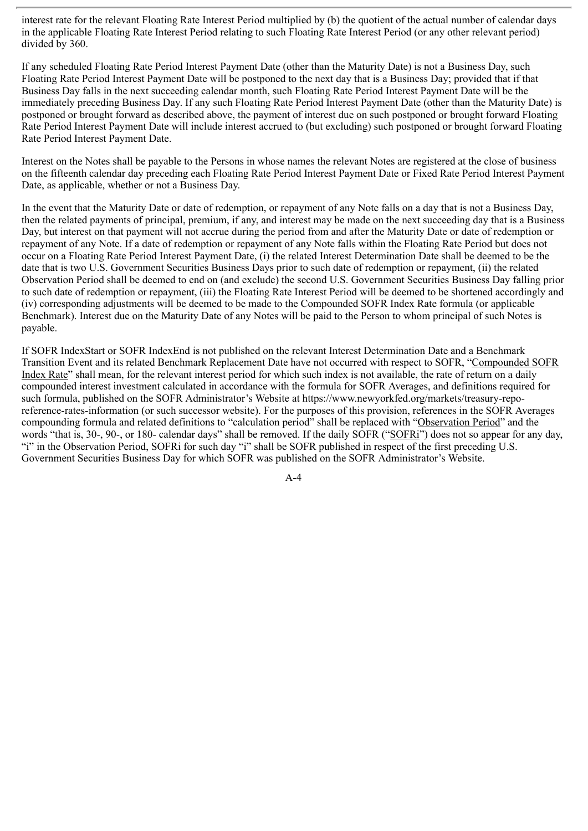interest rate for the relevant Floating Rate Interest Period multiplied by (b) the quotient of the actual number of calendar days in the applicable Floating Rate Interest Period relating to such Floating Rate Interest Period (or any other relevant period) divided by 360.

If any scheduled Floating Rate Period Interest Payment Date (other than the Maturity Date) is not a Business Day, such Floating Rate Period Interest Payment Date will be postponed to the next day that is a Business Day; provided that if that Business Day falls in the next succeeding calendar month, such Floating Rate Period Interest Payment Date will be the immediately preceding Business Day. If any such Floating Rate Period Interest Payment Date (other than the Maturity Date) is postponed or brought forward as described above, the payment of interest due on such postponed or brought forward Floating Rate Period Interest Payment Date will include interest accrued to (but excluding) such postponed or brought forward Floating Rate Period Interest Payment Date.

Interest on the Notes shall be payable to the Persons in whose names the relevant Notes are registered at the close of business on the fifteenth calendar day preceding each Floating Rate Period Interest Payment Date or Fixed Rate Period Interest Payment Date, as applicable, whether or not a Business Day.

In the event that the Maturity Date or date of redemption, or repayment of any Note falls on a day that is not a Business Day, then the related payments of principal, premium, if any, and interest may be made on the next succeeding day that is a Business Day, but interest on that payment will not accrue during the period from and after the Maturity Date or date of redemption or repayment of any Note. If a date of redemption or repayment of any Note falls within the Floating Rate Period but does not occur on a Floating Rate Period Interest Payment Date, (i) the related Interest Determination Date shall be deemed to be the date that is two U.S. Government Securities Business Days prior to such date of redemption or repayment, (ii) the related Observation Period shall be deemed to end on (and exclude) the second U.S. Government Securities Business Day falling prior to such date of redemption or repayment, (iii) the Floating Rate Interest Period will be deemed to be shortened accordingly and (iv) corresponding adjustments will be deemed to be made to the Compounded SOFR Index Rate formula (or applicable Benchmark). Interest due on the Maturity Date of any Notes will be paid to the Person to whom principal of such Notes is payable.

If SOFR IndexStart or SOFR IndexEnd is not published on the relevant Interest Determination Date and a Benchmark Transition Event and its related Benchmark Replacement Date have not occurred with respect to SOFR, "Compounded SOFR Index Rate" shall mean, for the relevant interest period for which such index is not available, the rate of return on a daily compounded interest investment calculated in accordance with the formula for SOFR Averages, and definitions required for such formula, published on the SOFR Administrator's Website at https://www.newyorkfed.org/markets/treasury-reporeference-rates-information (or such successor website). For the purposes of this provision, references in the SOFR Averages compounding formula and related definitions to "calculation period" shall be replaced with "Observation Period" and the words "that is, 30-, 90-, or 180- calendar days" shall be removed. If the daily SOFR ("SOFRi") does not so appear for any day, "i" in the Observation Period, SOFRi for such day "i" shall be SOFR published in respect of the first preceding U.S. Government Securities Business Day for which SOFR was published on the SOFR Administrator's Website.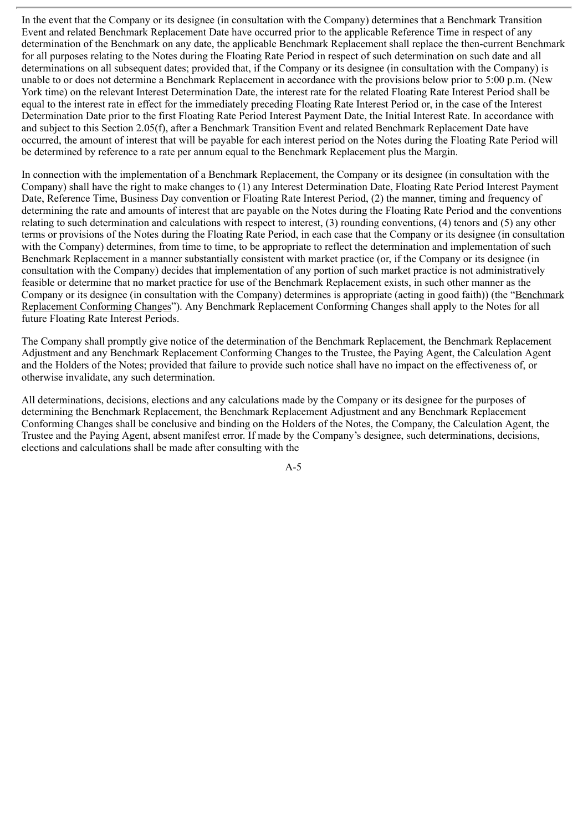In the event that the Company or its designee (in consultation with the Company) determines that a Benchmark Transition Event and related Benchmark Replacement Date have occurred prior to the applicable Reference Time in respect of any determination of the Benchmark on any date, the applicable Benchmark Replacement shall replace the then-current Benchmark for all purposes relating to the Notes during the Floating Rate Period in respect of such determination on such date and all determinations on all subsequent dates; provided that, if the Company or its designee (in consultation with the Company) is unable to or does not determine a Benchmark Replacement in accordance with the provisions below prior to 5:00 p.m. (New York time) on the relevant Interest Determination Date, the interest rate for the related Floating Rate Interest Period shall be equal to the interest rate in effect for the immediately preceding Floating Rate Interest Period or, in the case of the Interest Determination Date prior to the first Floating Rate Period Interest Payment Date, the Initial Interest Rate. In accordance with and subject to this Section 2.05(f), after a Benchmark Transition Event and related Benchmark Replacement Date have occurred, the amount of interest that will be payable for each interest period on the Notes during the Floating Rate Period will be determined by reference to a rate per annum equal to the Benchmark Replacement plus the Margin.

In connection with the implementation of a Benchmark Replacement, the Company or its designee (in consultation with the Company) shall have the right to make changes to (1) any Interest Determination Date, Floating Rate Period Interest Payment Date, Reference Time, Business Day convention or Floating Rate Interest Period, (2) the manner, timing and frequency of determining the rate and amounts of interest that are payable on the Notes during the Floating Rate Period and the conventions relating to such determination and calculations with respect to interest, (3) rounding conventions, (4) tenors and (5) any other terms or provisions of the Notes during the Floating Rate Period, in each case that the Company or its designee (in consultation with the Company) determines, from time to time, to be appropriate to reflect the determination and implementation of such Benchmark Replacement in a manner substantially consistent with market practice (or, if the Company or its designee (in consultation with the Company) decides that implementation of any portion of such market practice is not administratively feasible or determine that no market practice for use of the Benchmark Replacement exists, in such other manner as the Company or its designee (in consultation with the Company) determines is appropriate (acting in good faith)) (the "Benchmark Replacement Conforming Changes"). Any Benchmark Replacement Conforming Changes shall apply to the Notes for all future Floating Rate Interest Periods.

The Company shall promptly give notice of the determination of the Benchmark Replacement, the Benchmark Replacement Adjustment and any Benchmark Replacement Conforming Changes to the Trustee, the Paying Agent, the Calculation Agent and the Holders of the Notes; provided that failure to provide such notice shall have no impact on the effectiveness of, or otherwise invalidate, any such determination.

All determinations, decisions, elections and any calculations made by the Company or its designee for the purposes of determining the Benchmark Replacement, the Benchmark Replacement Adjustment and any Benchmark Replacement Conforming Changes shall be conclusive and binding on the Holders of the Notes, the Company, the Calculation Agent, the Trustee and the Paying Agent, absent manifest error. If made by the Company's designee, such determinations, decisions, elections and calculations shall be made after consulting with the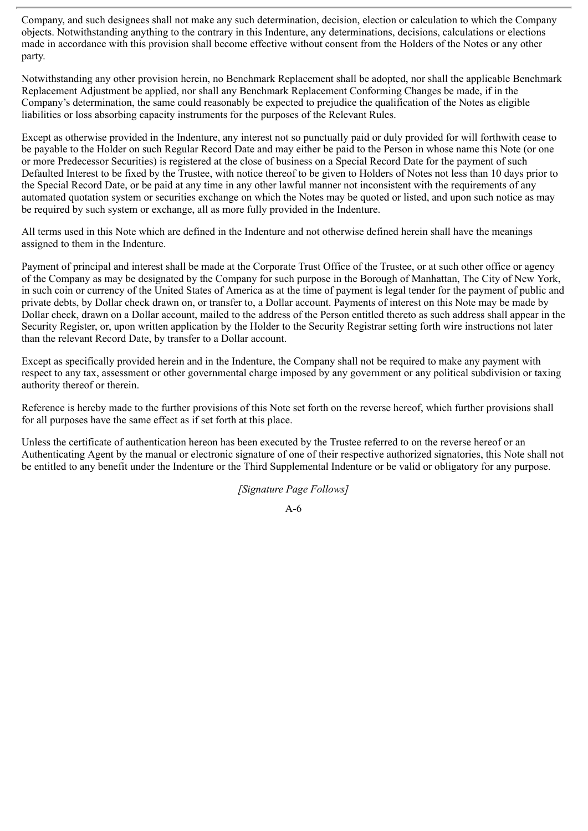Company, and such designees shall not make any such determination, decision, election or calculation to which the Company objects. Notwithstanding anything to the contrary in this Indenture, any determinations, decisions, calculations or elections made in accordance with this provision shall become effective without consent from the Holders of the Notes or any other party.

Notwithstanding any other provision herein, no Benchmark Replacement shall be adopted, nor shall the applicable Benchmark Replacement Adjustment be applied, nor shall any Benchmark Replacement Conforming Changes be made, if in the Company's determination, the same could reasonably be expected to prejudice the qualification of the Notes as eligible liabilities or loss absorbing capacity instruments for the purposes of the Relevant Rules.

Except as otherwise provided in the Indenture, any interest not so punctually paid or duly provided for will forthwith cease to be payable to the Holder on such Regular Record Date and may either be paid to the Person in whose name this Note (or one or more Predecessor Securities) is registered at the close of business on a Special Record Date for the payment of such Defaulted Interest to be fixed by the Trustee, with notice thereof to be given to Holders of Notes not less than 10 days prior to the Special Record Date, or be paid at any time in any other lawful manner not inconsistent with the requirements of any automated quotation system or securities exchange on which the Notes may be quoted or listed, and upon such notice as may be required by such system or exchange, all as more fully provided in the Indenture.

All terms used in this Note which are defined in the Indenture and not otherwise defined herein shall have the meanings assigned to them in the Indenture.

Payment of principal and interest shall be made at the Corporate Trust Office of the Trustee, or at such other office or agency of the Company as may be designated by the Company for such purpose in the Borough of Manhattan, The City of New York, in such coin or currency of the United States of America as at the time of payment is legal tender for the payment of public and private debts, by Dollar check drawn on, or transfer to, a Dollar account. Payments of interest on this Note may be made by Dollar check, drawn on a Dollar account, mailed to the address of the Person entitled thereto as such address shall appear in the Security Register, or, upon written application by the Holder to the Security Registrar setting forth wire instructions not later than the relevant Record Date, by transfer to a Dollar account.

Except as specifically provided herein and in the Indenture, the Company shall not be required to make any payment with respect to any tax, assessment or other governmental charge imposed by any government or any political subdivision or taxing authority thereof or therein.

Reference is hereby made to the further provisions of this Note set forth on the reverse hereof, which further provisions shall for all purposes have the same effect as if set forth at this place.

Unless the certificate of authentication hereon has been executed by the Trustee referred to on the reverse hereof or an Authenticating Agent by the manual or electronic signature of one of their respective authorized signatories, this Note shall not be entitled to any benefit under the Indenture or the Third Supplemental Indenture or be valid or obligatory for any purpose.

*[Signature Page Follows]*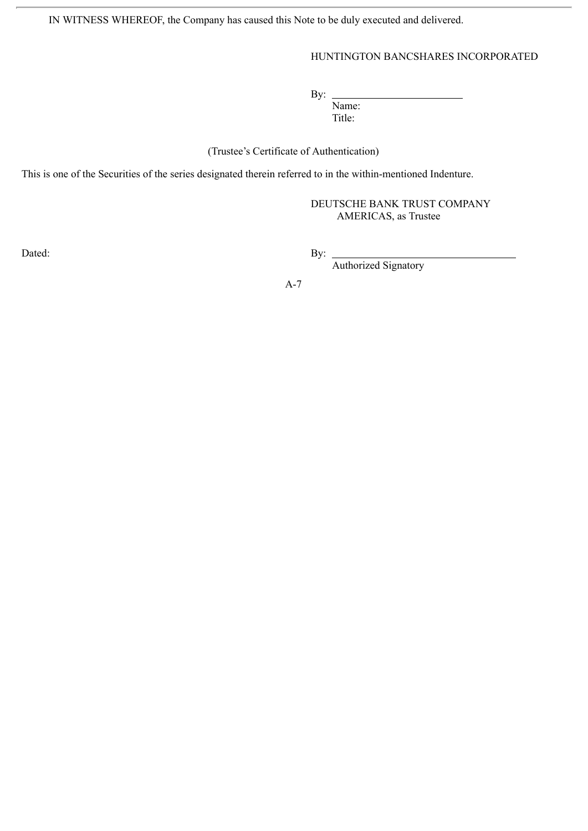IN WITNESS WHEREOF, the Company has caused this Note to be duly executed and delivered.

#### HUNTINGTON BANCSHARES INCORPORATED

By:

Name: Title:

### (Trustee's Certificate of Authentication)

This is one of the Securities of the series designated therein referred to in the within-mentioned Indenture.

DEUTSCHE BANK TRUST COMPANY AMERICAS, as Trustee

Dated: By:

Authorized Signatory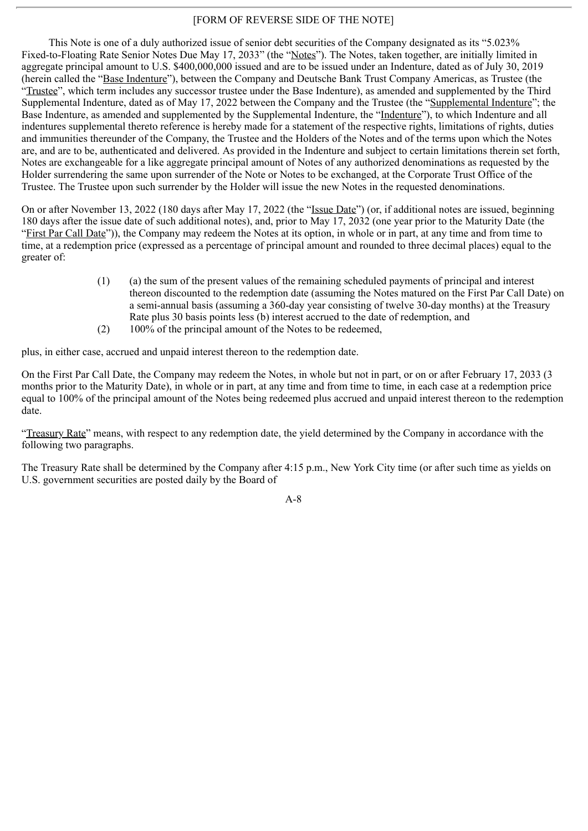#### [FORM OF REVERSE SIDE OF THE NOTE]

This Note is one of a duly authorized issue of senior debt securities of the Company designated as its "5.023% Fixed-to-Floating Rate Senior Notes Due May 17, 2033" (the "Notes"). The Notes, taken together, are initially limited in aggregate principal amount to U.S. \$400,000,000 issued and are to be issued under an Indenture, dated as of July 30, 2019 (herein called the "Base Indenture"), between the Company and Deutsche Bank Trust Company Americas, as Trustee (the "Trustee", which term includes any successor trustee under the Base Indenture), as amended and supplemented by the Third Supplemental Indenture, dated as of May 17, 2022 between the Company and the Trustee (the "Supplemental Indenture"; the Base Indenture, as amended and supplemented by the Supplemental Indenture, the "Indenture"), to which Indenture and all indentures supplemental thereto reference is hereby made for a statement of the respective rights, limitations of rights, duties and immunities thereunder of the Company, the Trustee and the Holders of the Notes and of the terms upon which the Notes are, and are to be, authenticated and delivered. As provided in the Indenture and subject to certain limitations therein set forth, Notes are exchangeable for a like aggregate principal amount of Notes of any authorized denominations as requested by the Holder surrendering the same upon surrender of the Note or Notes to be exchanged, at the Corporate Trust Office of the Trustee. The Trustee upon such surrender by the Holder will issue the new Notes in the requested denominations.

On or after November 13, 2022 (180 days after May 17, 2022 (the "Issue Date") (or, if additional notes are issued, beginning 180 days after the issue date of such additional notes), and, prior to May 17, 2032 (one year prior to the Maturity Date (the "First Par Call Date")), the Company may redeem the Notes at its option, in whole or in part, at any time and from time to time, at a redemption price (expressed as a percentage of principal amount and rounded to three decimal places) equal to the greater of:

- (1) (a) the sum of the present values of the remaining scheduled payments of principal and interest thereon discounted to the redemption date (assuming the Notes matured on the First Par Call Date) on a semi-annual basis (assuming a 360-day year consisting of twelve 30-day months) at the Treasury Rate plus 30 basis points less (b) interest accrued to the date of redemption, and
- (2) 100% of the principal amount of the Notes to be redeemed,

plus, in either case, accrued and unpaid interest thereon to the redemption date.

On the First Par Call Date, the Company may redeem the Notes, in whole but not in part, or on or after February 17, 2033 (3 months prior to the Maturity Date), in whole or in part, at any time and from time to time, in each case at a redemption price equal to 100% of the principal amount of the Notes being redeemed plus accrued and unpaid interest thereon to the redemption date.

"Treasury Rate" means, with respect to any redemption date, the yield determined by the Company in accordance with the following two paragraphs.

The Treasury Rate shall be determined by the Company after 4:15 p.m., New York City time (or after such time as yields on U.S. government securities are posted daily by the Board of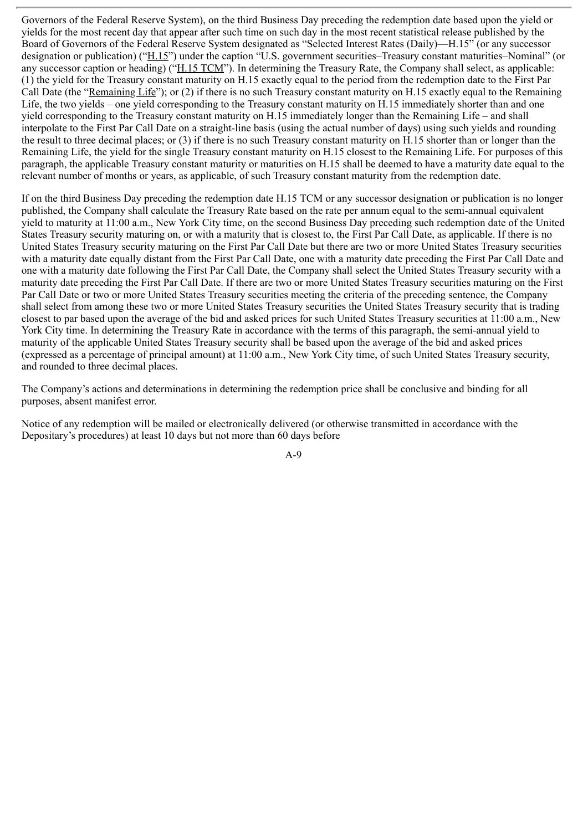Governors of the Federal Reserve System), on the third Business Day preceding the redemption date based upon the yield or yields for the most recent day that appear after such time on such day in the most recent statistical release published by the Board of Governors of the Federal Reserve System designated as "Selected Interest Rates (Daily)—H.15" (or any successor designation or publication) ("H.15") under the caption "U.S. government securities–Treasury constant maturities–Nominal" (or any successor caption or heading) ("H.15 TCM"). In determining the Treasury Rate, the Company shall select, as applicable: (1) the yield for the Treasury constant maturity on H.15 exactly equal to the period from the redemption date to the First Par Call Date (the "Remaining Life"); or (2) if there is no such Treasury constant maturity on H.15 exactly equal to the Remaining Life, the two yields – one yield corresponding to the Treasury constant maturity on H.15 immediately shorter than and one yield corresponding to the Treasury constant maturity on H.15 immediately longer than the Remaining Life – and shall interpolate to the First Par Call Date on a straight-line basis (using the actual number of days) using such yields and rounding the result to three decimal places; or (3) if there is no such Treasury constant maturity on H.15 shorter than or longer than the Remaining Life, the yield for the single Treasury constant maturity on H.15 closest to the Remaining Life. For purposes of this paragraph, the applicable Treasury constant maturity or maturities on H.15 shall be deemed to have a maturity date equal to the relevant number of months or years, as applicable, of such Treasury constant maturity from the redemption date.

If on the third Business Day preceding the redemption date H.15 TCM or any successor designation or publication is no longer published, the Company shall calculate the Treasury Rate based on the rate per annum equal to the semi-annual equivalent yield to maturity at 11:00 a.m., New York City time, on the second Business Day preceding such redemption date of the United States Treasury security maturing on, or with a maturity that is closest to, the First Par Call Date, as applicable. If there is no United States Treasury security maturing on the First Par Call Date but there are two or more United States Treasury securities with a maturity date equally distant from the First Par Call Date, one with a maturity date preceding the First Par Call Date and one with a maturity date following the First Par Call Date, the Company shall select the United States Treasury security with a maturity date preceding the First Par Call Date. If there are two or more United States Treasury securities maturing on the First Par Call Date or two or more United States Treasury securities meeting the criteria of the preceding sentence, the Company shall select from among these two or more United States Treasury securities the United States Treasury security that is trading closest to par based upon the average of the bid and asked prices for such United States Treasury securities at 11:00 a.m., New York City time. In determining the Treasury Rate in accordance with the terms of this paragraph, the semi-annual yield to maturity of the applicable United States Treasury security shall be based upon the average of the bid and asked prices (expressed as a percentage of principal amount) at 11:00 a.m., New York City time, of such United States Treasury security, and rounded to three decimal places.

The Company's actions and determinations in determining the redemption price shall be conclusive and binding for all purposes, absent manifest error.

Notice of any redemption will be mailed or electronically delivered (or otherwise transmitted in accordance with the Depositary's procedures) at least 10 days but not more than 60 days before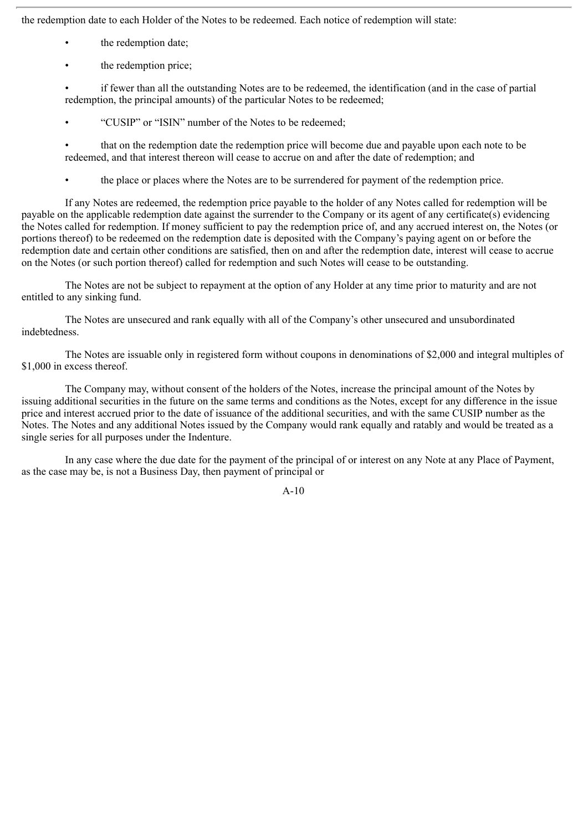the redemption date to each Holder of the Notes to be redeemed. Each notice of redemption will state:

- the redemption date;
- the redemption price;

• if fewer than all the outstanding Notes are to be redeemed, the identification (and in the case of partial redemption, the principal amounts) of the particular Notes to be redeemed;

• "CUSIP" or "ISIN" number of the Notes to be redeemed;

• that on the redemption date the redemption price will become due and payable upon each note to be redeemed, and that interest thereon will cease to accrue on and after the date of redemption; and

• the place or places where the Notes are to be surrendered for payment of the redemption price.

If any Notes are redeemed, the redemption price payable to the holder of any Notes called for redemption will be payable on the applicable redemption date against the surrender to the Company or its agent of any certificate(s) evidencing the Notes called for redemption. If money sufficient to pay the redemption price of, and any accrued interest on, the Notes (or portions thereof) to be redeemed on the redemption date is deposited with the Company's paying agent on or before the redemption date and certain other conditions are satisfied, then on and after the redemption date, interest will cease to accrue on the Notes (or such portion thereof) called for redemption and such Notes will cease to be outstanding.

The Notes are not be subject to repayment at the option of any Holder at any time prior to maturity and are not entitled to any sinking fund.

The Notes are unsecured and rank equally with all of the Company's other unsecured and unsubordinated indebtedness.

The Notes are issuable only in registered form without coupons in denominations of \$2,000 and integral multiples of \$1,000 in excess thereof.

The Company may, without consent of the holders of the Notes, increase the principal amount of the Notes by issuing additional securities in the future on the same terms and conditions as the Notes, except for any difference in the issue price and interest accrued prior to the date of issuance of the additional securities, and with the same CUSIP number as the Notes. The Notes and any additional Notes issued by the Company would rank equally and ratably and would be treated as a single series for all purposes under the Indenture.

In any case where the due date for the payment of the principal of or interest on any Note at any Place of Payment, as the case may be, is not a Business Day, then payment of principal or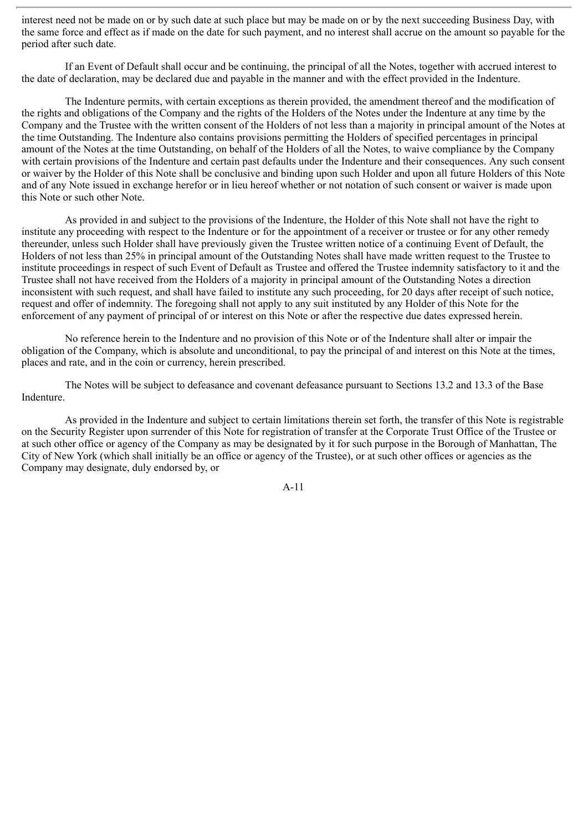interest need not be made on or by such date at such place but may be made on or by the next succeeding Business Day, with the same force and effect as if made on the date for such payment, and no interest shall accrue on the amount so payable for the period after such date.

If an Event of Default shall occur and be continuing, the principal of all the Notes, together with accrued interest to the date of declaration, may be declared due and payable in the manner and with the effect provided in the Indenture.

The Indenture permits, with certain exceptions as therein provided, the amendment thereof and the modification of the rights and obligations of the Company and the rights of the Holders of the Notes under the Indenture at any time by the Company and the Trustee with the written consent of the Holders of not less than a majority in principal amount of the Notes at the time Outstanding. The Indenture also contains provisions permitting the Holders of specified percentages in principal amount of the Notes at the time Outstanding, on behalf of the Holders of all the Notes, to waive compliance by the Company with certain provisions of the Indenture and certain past defaults under the Indenture and their consequences. Any such consent or waiver by the Holder of this Note shall be conclusive and binding upon such Holder and upon all future Holders of this Note and of any Note issued in exchange herefor or in lieu hereof whether or not notation of such consent or waiver is made upon this Note or such other Note.

As provided in and subject to the provisions of the Indenture, the Holder of this Note shall not have the right to institute any proceeding with respect to the Indenture or for the appointment of a receiver or trustee or for any other remedy thereunder, unless such Holder shall have previously given the Trustee written notice of a continuing Event of Default, the Holders of not less than 25% in principal amount of the Outstanding Notes shall have made written request to the Trustee to institute proceedings in respect of such Event of Default as Trustee and offered the Trustee indemnity satisfactory to it and the Trustee shall not have received from the Holders of a majority in principal amount of the Outstanding Notes a direction inconsistent with such request, and shall have failed to institute any such proceeding, for 20 days after receipt of such notice, request and offer of indemnity. The foregoing shall not apply to any suit instituted by any Holder of this Note for the enforcement of any payment of principal of or interest on this Note or after the respective due dates expressed herein.

No reference herein to the Indenture and no provision of this Note or of the Indenture shall alter or impair the obligation of the Company, which is absolute and unconditional, to pay the principal of and interest on this Note at the times, places and rate, and in the coin or currency, herein prescribed.

The Notes will be subject to defeasance and covenant defeasance pursuant to Sections 13.2 and 13.3 of the Base Indenture.

As provided in the Indenture and subject to certain limitations therein set forth, the transfer of this Note is registrable on the Security Register upon surrender of this Note for registration of transfer at the Corporate Trust Office of the Trustee or at such other office or agency of the Company as may be designated by it for such purpose in the Borough of Manhattan, The City of New York (which shall initially be an office or agency of the Trustee), or at such other offices or agencies as the Company may designate, duly endorsed by, or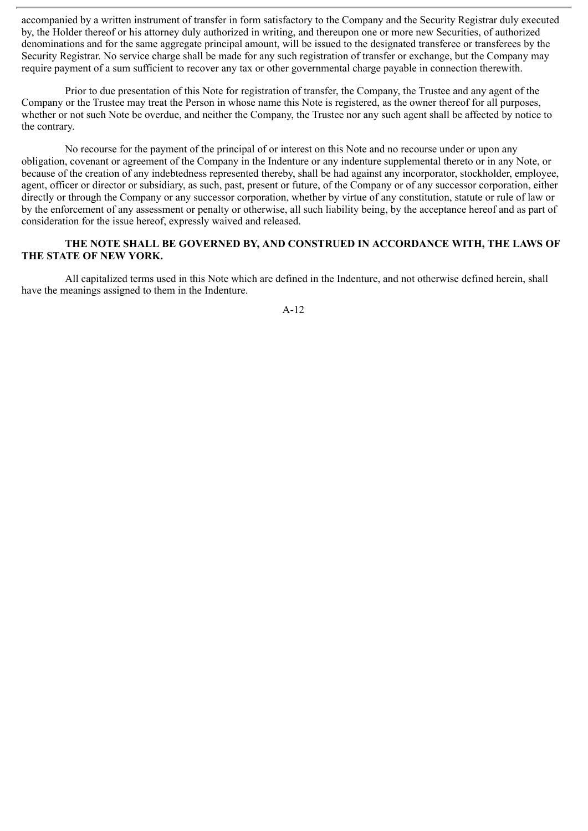accompanied by a written instrument of transfer in form satisfactory to the Company and the Security Registrar duly executed by, the Holder thereof or his attorney duly authorized in writing, and thereupon one or more new Securities, of authorized denominations and for the same aggregate principal amount, will be issued to the designated transferee or transferees by the Security Registrar. No service charge shall be made for any such registration of transfer or exchange, but the Company may require payment of a sum sufficient to recover any tax or other governmental charge payable in connection therewith.

Prior to due presentation of this Note for registration of transfer, the Company, the Trustee and any agent of the Company or the Trustee may treat the Person in whose name this Note is registered, as the owner thereof for all purposes, whether or not such Note be overdue, and neither the Company, the Trustee nor any such agent shall be affected by notice to the contrary.

No recourse for the payment of the principal of or interest on this Note and no recourse under or upon any obligation, covenant or agreement of the Company in the Indenture or any indenture supplemental thereto or in any Note, or because of the creation of any indebtedness represented thereby, shall be had against any incorporator, stockholder, employee, agent, officer or director or subsidiary, as such, past, present or future, of the Company or of any successor corporation, either directly or through the Company or any successor corporation, whether by virtue of any constitution, statute or rule of law or by the enforcement of any assessment or penalty or otherwise, all such liability being, by the acceptance hereof and as part of consideration for the issue hereof, expressly waived and released.

#### **THE NOTE SHALL BE GOVERNED BY, AND CONSTRUED IN ACCORDANCE WITH, THE LAWS OF THE STATE OF NEW YORK.**

All capitalized terms used in this Note which are defined in the Indenture, and not otherwise defined herein, shall have the meanings assigned to them in the Indenture.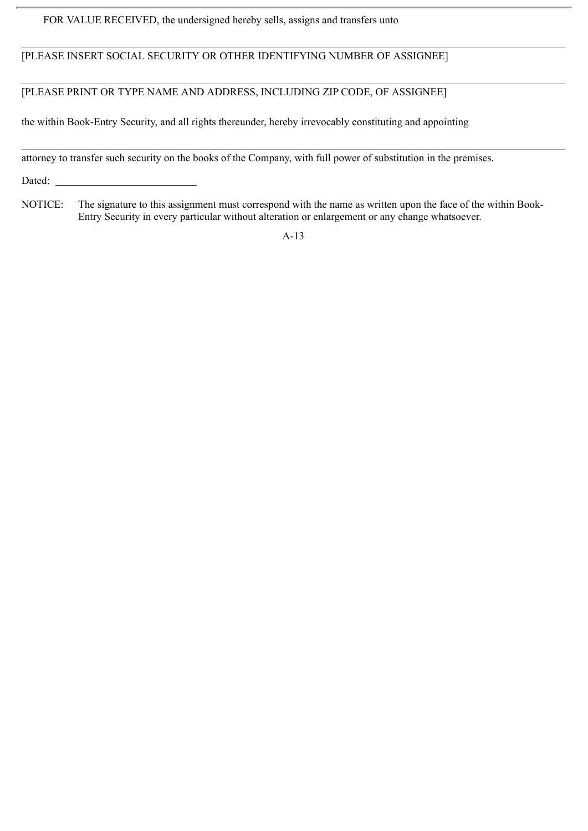#### FOR VALUE RECEIVED, the undersigned hereby sells, assigns and transfers unto

## [PLEASE INSERT SOCIAL SECURITY OR OTHER IDENTIFYING NUMBER OF ASSIGNEE]

### [PLEASE PRINT OR TYPE NAME AND ADDRESS, INCLUDING ZIP CODE, OF ASSIGNEE]

the within Book-Entry Security, and all rights thereunder, hereby irrevocably constituting and appointing

attorney to transfer such security on the books of the Company, with full power of substitution in the premises.

Dated: when the contract of the contract of the contract of the contract of the contract of the contract of the contract of the contract of the contract of the contract of the contract of the contract of the contract of th

NOTICE: The signature to this assignment must correspond with the name as written upon the face of the within Book-Entry Security in every particular without alteration or enlargement or any change whatsoever.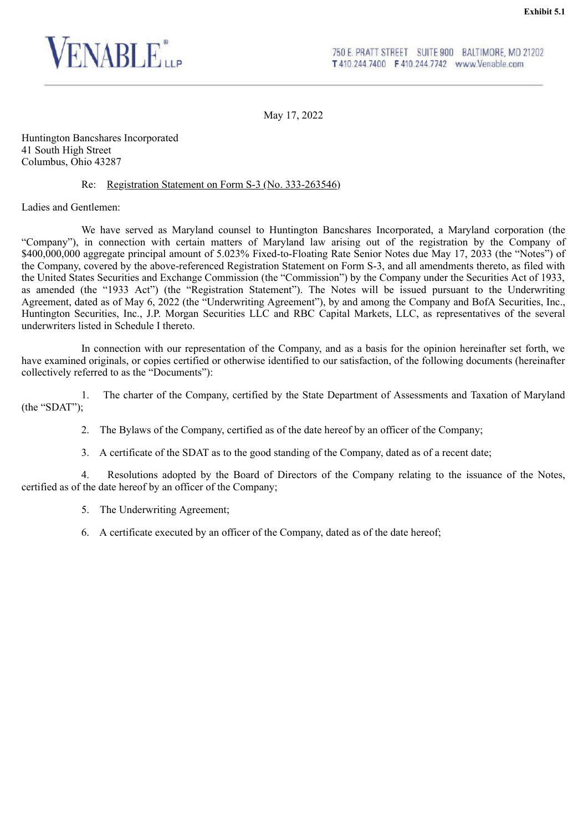<span id="page-40-0"></span>

May 17, 2022

Huntington Bancshares Incorporated 41 South High Street Columbus, Ohio 43287

#### Re: Registration Statement on Form S-3 (No. 333-263546)

Ladies and Gentlemen:

We have served as Maryland counsel to Huntington Bancshares Incorporated, a Maryland corporation (the "Company"), in connection with certain matters of Maryland law arising out of the registration by the Company of \$400,000,000 aggregate principal amount of 5.023% Fixed-to-Floating Rate Senior Notes due May 17, 2033 (the "Notes") of the Company, covered by the above-referenced Registration Statement on Form S-3, and all amendments thereto, as filed with the United States Securities and Exchange Commission (the "Commission") by the Company under the Securities Act of 1933, as amended (the "1933 Act") (the "Registration Statement"). The Notes will be issued pursuant to the Underwriting Agreement, dated as of May 6, 2022 (the "Underwriting Agreement"), by and among the Company and BofA Securities, Inc., Huntington Securities, Inc., J.P. Morgan Securities LLC and RBC Capital Markets, LLC, as representatives of the several underwriters listed in Schedule I thereto.

In connection with our representation of the Company, and as a basis for the opinion hereinafter set forth, we have examined originals, or copies certified or otherwise identified to our satisfaction, of the following documents (hereinafter collectively referred to as the "Documents"):

1. The charter of the Company, certified by the State Department of Assessments and Taxation of Maryland (the "SDAT");

2. The Bylaws of the Company, certified as of the date hereof by an officer of the Company;

3. A certificate of the SDAT as to the good standing of the Company, dated as of a recent date;

4. Resolutions adopted by the Board of Directors of the Company relating to the issuance of the Notes, certified as of the date hereof by an officer of the Company;

5. The Underwriting Agreement;

6. A certificate executed by an officer of the Company, dated as of the date hereof;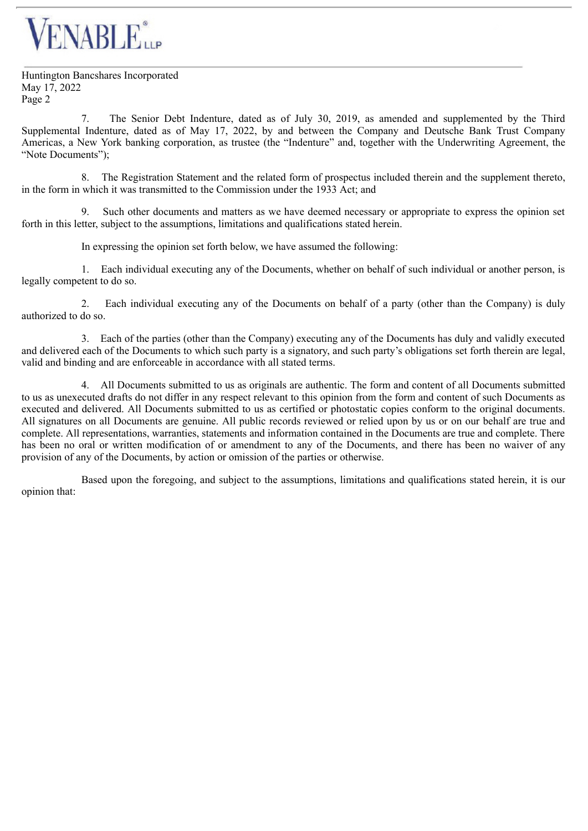

Huntington Bancshares Incorporated May 17, 2022 Page 2

7. The Senior Debt Indenture, dated as of July 30, 2019, as amended and supplemented by the Third Supplemental Indenture, dated as of May 17, 2022, by and between the Company and Deutsche Bank Trust Company Americas, a New York banking corporation, as trustee (the "Indenture" and, together with the Underwriting Agreement, the "Note Documents");

8. The Registration Statement and the related form of prospectus included therein and the supplement thereto, in the form in which it was transmitted to the Commission under the 1933 Act; and

9. Such other documents and matters as we have deemed necessary or appropriate to express the opinion set forth in this letter, subject to the assumptions, limitations and qualifications stated herein.

In expressing the opinion set forth below, we have assumed the following:

1. Each individual executing any of the Documents, whether on behalf of such individual or another person, is legally competent to do so.

2. Each individual executing any of the Documents on behalf of a party (other than the Company) is duly authorized to do so.

3. Each of the parties (other than the Company) executing any of the Documents has duly and validly executed and delivered each of the Documents to which such party is a signatory, and such party's obligations set forth therein are legal, valid and binding and are enforceable in accordance with all stated terms.

4. All Documents submitted to us as originals are authentic. The form and content of all Documents submitted to us as unexecuted drafts do not differ in any respect relevant to this opinion from the form and content of such Documents as executed and delivered. All Documents submitted to us as certified or photostatic copies conform to the original documents. All signatures on all Documents are genuine. All public records reviewed or relied upon by us or on our behalf are true and complete. All representations, warranties, statements and information contained in the Documents are true and complete. There has been no oral or written modification of or amendment to any of the Documents, and there has been no waiver of any provision of any of the Documents, by action or omission of the parties or otherwise.

Based upon the foregoing, and subject to the assumptions, limitations and qualifications stated herein, it is our opinion that: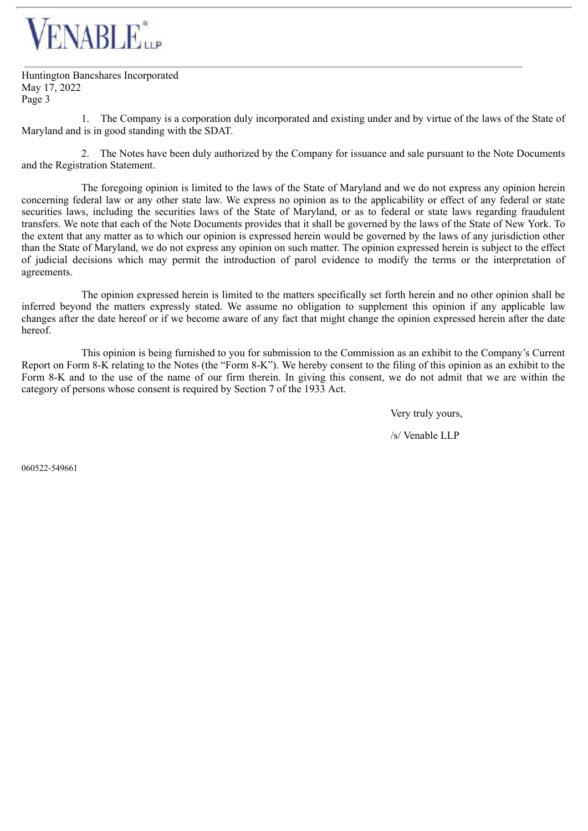

Huntington Bancshares Incorporated May 17, 2022 Page 3

1. The Company is a corporation duly incorporated and existing under and by virtue of the laws of the State of Maryland and is in good standing with the SDAT.

2. The Notes have been duly authorized by the Company for issuance and sale pursuant to the Note Documents and the Registration Statement.

The foregoing opinion is limited to the laws of the State of Maryland and we do not express any opinion herein concerning federal law or any other state law. We express no opinion as to the applicability or effect of any federal or state securities laws, including the securities laws of the State of Maryland, or as to federal or state laws regarding fraudulent transfers. We note that each of the Note Documents provides that it shall be governed by the laws of the State of New York. To the extent that any matter as to which our opinion is expressed herein would be governed by the laws of any jurisdiction other than the State of Maryland, we do not express any opinion on such matter. The opinion expressed herein is subject to the effect of judicial decisions which may permit the introduction of parol evidence to modify the terms or the interpretation of agreements.

The opinion expressed herein is limited to the matters specifically set forth herein and no other opinion shall be inferred beyond the matters expressly stated. We assume no obligation to supplement this opinion if any applicable law changes after the date hereof or if we become aware of any fact that might change the opinion expressed herein after the date hereof.

This opinion is being furnished to you for submission to the Commission as an exhibit to the Company's Current Report on Form 8-K relating to the Notes (the "Form 8-K"). We hereby consent to the filing of this opinion as an exhibit to the Form 8-K and to the use of the name of our firm therein. In giving this consent, we do not admit that we are within the category of persons whose consent is required by Section 7 of the 1933 Act.

Very truly yours,

/s/ Venable LLP

060522-549661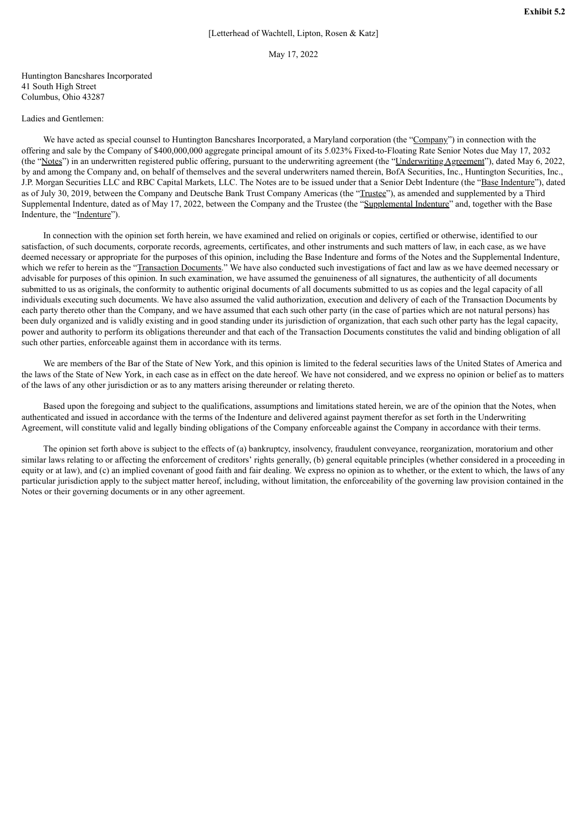May 17, 2022

<span id="page-43-0"></span>Huntington Bancshares Incorporated 41 South High Street Columbus, Ohio 43287

#### Ladies and Gentlemen:

We have acted as special counsel to Huntington Bancshares Incorporated, a Maryland corporation (the "Company") in connection with the offering and sale by the Company of \$400,000,000 aggregate principal amount of its 5.023% Fixed-to-Floating Rate Senior Notes due May 17, 2032 (the "Notes") in an underwritten registered public offering, pursuant to the underwriting agreement (the "Underwriting Agreement"), dated May 6, 2022, by and among the Company and, on behalf of themselves and the several underwriters named therein, BofA Securities, Inc., Huntington Securities, Inc., J.P. Morgan Securities LLC and RBC Capital Markets, LLC. The Notes are to be issued under that a Senior Debt Indenture (the "Base Indenture"), dated as of July 30, 2019, between the Company and Deutsche Bank Trust Company Americas (the "Trustee"), as amended and supplemented by a Third Supplemental Indenture, dated as of May 17, 2022, between the Company and the Trustee (the "Supplemental Indenture" and, together with the Base Indenture, the "Indenture").

In connection with the opinion set forth herein, we have examined and relied on originals or copies, certified or otherwise, identified to our satisfaction, of such documents, corporate records, agreements, certificates, and other instruments and such matters of law, in each case, as we have deemed necessary or appropriate for the purposes of this opinion, including the Base Indenture and forms of the Notes and the Supplemental Indenture, which we refer to herein as the "Transaction Documents." We have also conducted such investigations of fact and law as we have deemed necessary or advisable for purposes of this opinion. In such examination, we have assumed the genuineness of all signatures, the authenticity of all documents submitted to us as originals, the conformity to authentic original documents of all documents submitted to us as copies and the legal capacity of all individuals executing such documents. We have also assumed the valid authorization, execution and delivery of each of the Transaction Documents by each party thereto other than the Company, and we have assumed that each such other party (in the case of parties which are not natural persons) has been duly organized and is validly existing and in good standing under its jurisdiction of organization, that each such other party has the legal capacity, power and authority to perform its obligations thereunder and that each of the Transaction Documents constitutes the valid and binding obligation of all such other parties, enforceable against them in accordance with its terms.

We are members of the Bar of the State of New York, and this opinion is limited to the federal securities laws of the United States of America and the laws of the State of New York, in each case as in effect on the date hereof. We have not considered, and we express no opinion or belief as to matters of the laws of any other jurisdiction or as to any matters arising thereunder or relating thereto.

Based upon the foregoing and subject to the qualifications, assumptions and limitations stated herein, we are of the opinion that the Notes, when authenticated and issued in accordance with the terms of the Indenture and delivered against payment therefor as set forth in the Underwriting Agreement, will constitute valid and legally binding obligations of the Company enforceable against the Company in accordance with their terms.

The opinion set forth above is subject to the effects of (a) bankruptcy, insolvency, fraudulent conveyance, reorganization, moratorium and other similar laws relating to or affecting the enforcement of creditors' rights generally, (b) general equitable principles (whether considered in a proceeding in equity or at law), and (c) an implied covenant of good faith and fair dealing. We express no opinion as to whether, or the extent to which, the laws of any particular jurisdiction apply to the subject matter hereof, including, without limitation, the enforceability of the governing law provision contained in the Notes or their governing documents or in any other agreement.